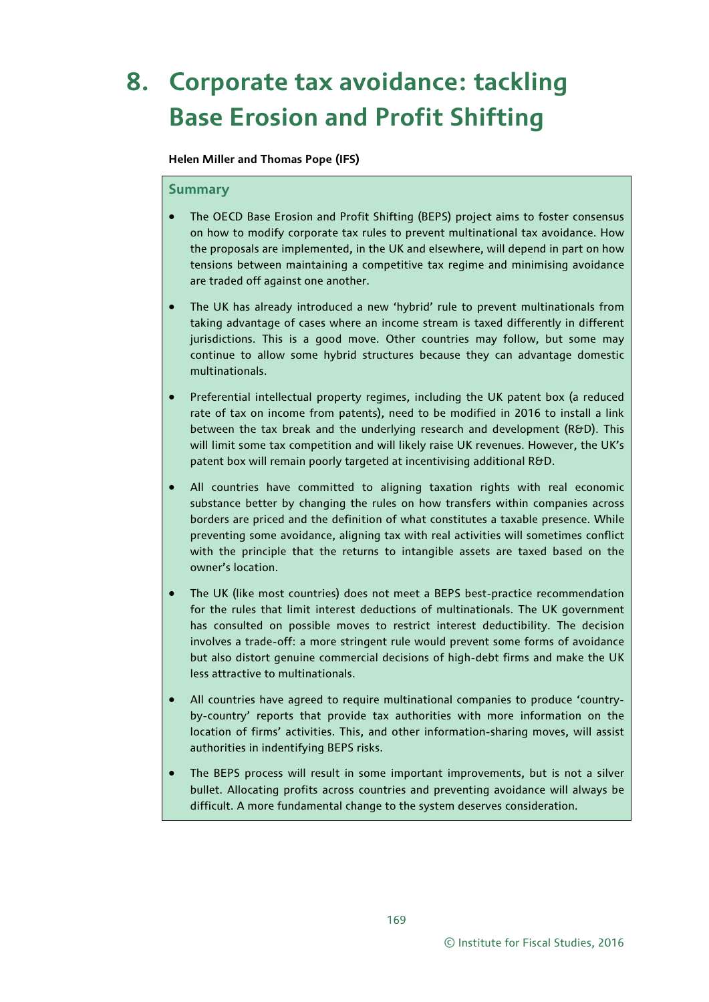# **8. Corporate tax avoidance: tackling Base Erosion and Profit Shifting**

**Helen Miller and Thomas Pope (IFS)** 

#### **Summary**

- The OECD Base Erosion and Profit Shifting (BEPS) project aims to foster consensus on how to modify corporate tax rules to prevent multinational tax avoidance. How the proposals are implemented, in the UK and elsewhere, will depend in part on how tensions between maintaining a competitive tax regime and minimising avoidance are traded off against one another.
- The UK has already introduced a new 'hybrid' rule to prevent multinationals from taking advantage of cases where an income stream is taxed differently in different jurisdictions. This is a good move. Other countries may follow, but some may continue to allow some hybrid structures because they can advantage domestic multinationals.
- Preferential intellectual property regimes, including the UK patent box (a reduced rate of tax on income from patents), need to be modified in 2016 to install a link between the tax break and the underlying research and development (R&D). This will limit some tax competition and will likely raise UK revenues. However, the UK's patent box will remain poorly targeted at incentivising additional R&D.
- All countries have committed to aligning taxation rights with real economic substance better by changing the rules on how transfers within companies across borders are priced and the definition of what constitutes a taxable presence. While preventing some avoidance, aligning tax with real activities will sometimes conflict with the principle that the returns to intangible assets are taxed based on the owner's location.
- The UK (like most countries) does not meet a BEPS best-practice recommendation for the rules that limit interest deductions of multinationals. The UK government has consulted on possible moves to restrict interest deductibility. The decision involves a trade-off: a more stringent rule would prevent some forms of avoidance but also distort genuine commercial decisions of high-debt firms and make the UK less attractive to multinationals.
- All countries have agreed to require multinational companies to produce 'countryby-country' reports that provide tax authorities with more information on the location of firms' activities. This, and other information-sharing moves, will assist authorities in indentifying BEPS risks.
- The BEPS process will result in some important improvements, but is not a silver bullet. Allocating profits across countries and preventing avoidance will always be difficult. A more fundamental change to the system deserves consideration.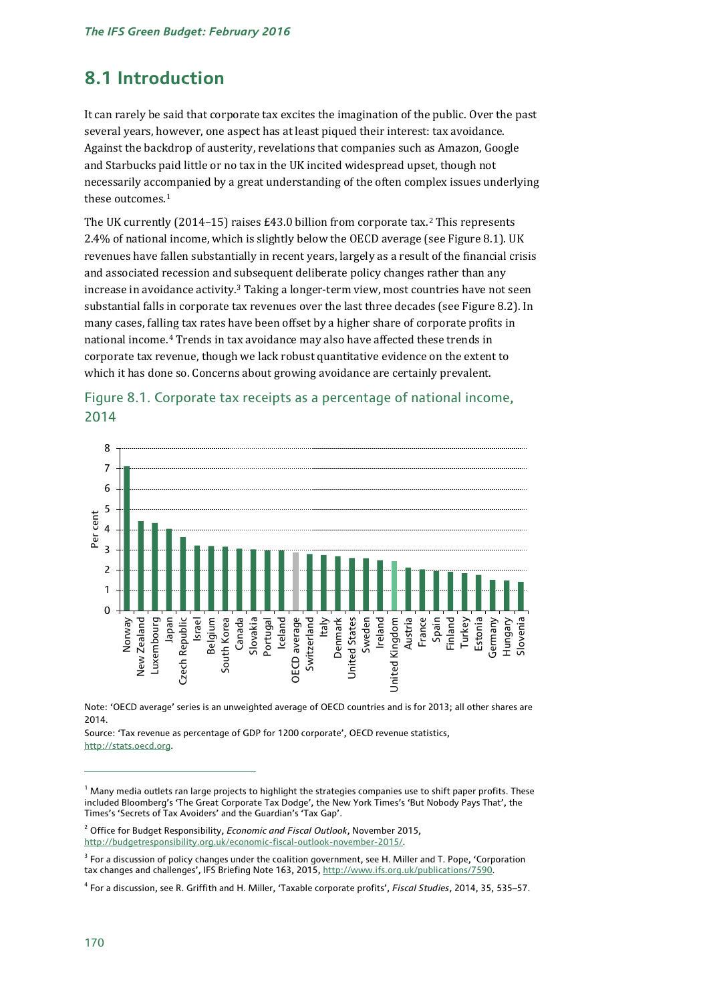# **8.1 Introduction**

It can rarely be said that corporate tax excites the imagination of the public. Over the past several years, however, one aspect has at least piqued their interest: tax avoidance. Against the backdrop of austerity, revelations that companies such as Amazon, Google and Starbucks paid little or no tax in the UK incited widespread upset, though not necessarily acc[om](#page-1-0)panied by a great understanding of the often complex issues underlying these outcomes.<sup>1</sup>

The UK currently (2014–15) raises £43.0 billion from corporate tax.[2](#page-1-1) This represents 2.4% of national income, which is slightly below the OECD average (see Figure 8.1). UK revenues have fallen substantially in recent years, largely as a result of the financial crisis and associated recession and [su](#page-1-2)bsequent deliberate policy changes rather than any increase in avoidance activity. <sup>3</sup> Taking a longer-term view, most countries have not seen substantial falls in corporate tax revenues over the last three decades (see Figure 8.2). In many cases, falli[ng](#page-1-3) tax rates have been offset by a higher share of corporate profits in national income.4 Trends in tax avoidance may also have affected these trends in corporate tax revenue, though we lack robust quantitative evidence on the extent to which it has done so. Concerns about growing avoidance are certainly prevalent.



# Figure 8.1. Corporate tax receipts as a percentage of national income, 2014

Note: 'OECD average' series is an unweighted average of OECD countries and is for 2013; all other shares are 2014.

Source: 'Tax revenue as percentage of GDP for 1200 corporate', OECD revenue statistics, [http://stats.oecd.org.](http://stats.oecd.org/)

<span id="page-1-0"></span> $1$  Many media outlets ran large projects to highlight the strategies companies use to shift paper profits. These included Bloomberg's 'The Great Corporate Tax Dodge', the New York Times's 'But Nobody Pays That', the Times's 'Secrets of Tax Avoiders' and the Guardian's 'Tax Gap'.

<span id="page-1-1"></span><sup>2</sup> Office for Budget Responsibility, *Economic and Fiscal Outlook*, November 2015, [http://budgetresponsibility.org.uk/economic-fiscal-outlook-november-2015/.](http://budgetresponsibility.org.uk/economic-fiscal-outlook-november-2015/)

<span id="page-1-2"></span><sup>&</sup>lt;sup>3</sup> For a discussion of policy changes under the coalition government, see H. Miller and T. Pope, 'Corporation tax changes and challenges', IFS Briefing Note 163, 2015, http://www.ifs.org.uk/publications/7590.

<span id="page-1-3"></span><sup>4</sup> For a discussion, see R. Griffith and H. Miller, 'Taxable corporate profits', *Fiscal Studies*, 2014, 35, 535–57.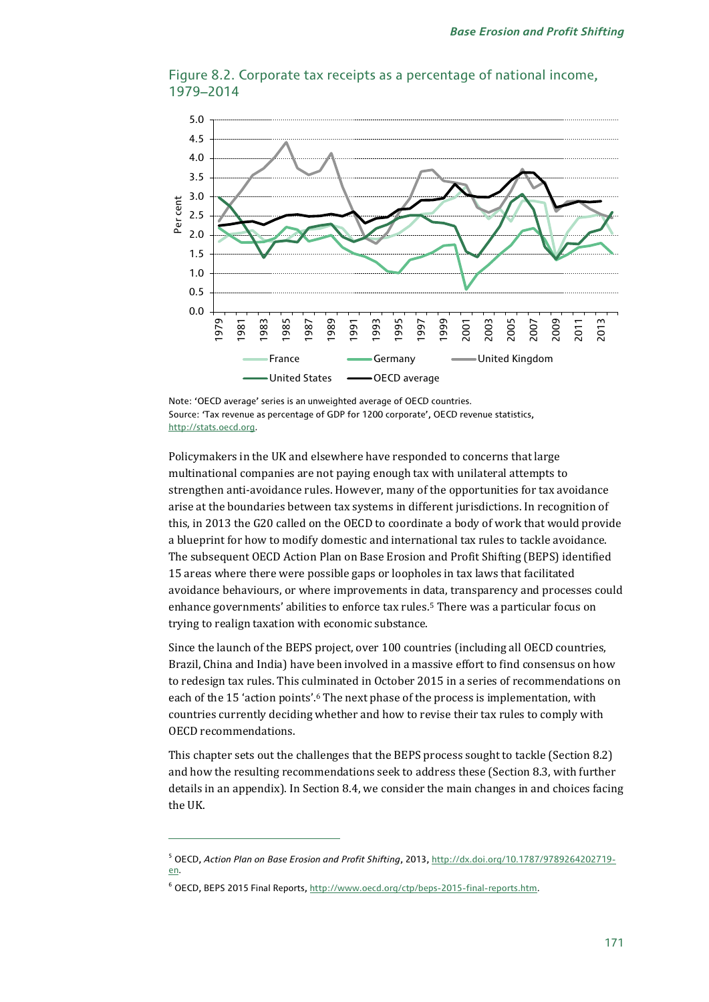

Figure 8.2. Corporate tax receipts as a percentage of national income, 1979–2014

Note: 'OECD average' series is an unweighted average of OECD countries. Source: 'Tax revenue as percentage of GDP for 1200 corporate', OECD revenue statistics, [http://stats.oecd.org.](http://stats.oecd.org/)

Policymakers in the UK and elsewhere have responded to concerns that large multinational companies are not paying enough tax with unilateral attempts to strengthen anti-avoidance rules. However, many of the opportunities for tax avoidance arise at the boundaries between tax systems in different jurisdictions. In recognition of this, in 2013 the G20 called on the OECD to coordinate a body of work that would provide a blueprint for how to modify domestic and international tax rules to tackle avoidance. The subsequent OECD Action Plan on Base Erosion and Profit Shifting (BEPS) identified 15 areas where there were possible gaps or loopholes in tax laws that facilitated avoidance behaviours, or where improvements in data, transparency and processes could enhance governments' abilities to enforce tax rules.[5](#page-2-0) There was a particular focus on trying to realign taxation with economic substance.

Since the launch of the BEPS project, over 100 countries (including all OECD countries, Brazil, China and India) have been involved in a massive effort to find consensus on how to redesign tax rules. This cu[lm](#page-2-1)inated in October 2015 in a series of recommendations on each of the 15 'action points'. <sup>6</sup> The next phase of the process is implementation, with countries currently deciding whether and how to revise their tax rules to comply with OECD recommendations.

This chapter sets out the challenges that the BEPS process sought to tackle (Section 8.2) and how the resulting recommendations seek to address these (Section 8.3, with further details in an appendix). In Section 8.4, we consider the main changes in and choices facing the UK.

<span id="page-2-0"></span><sup>5</sup> OECD, *Action Plan on Base Erosion and Profit Shifting*, 2013[, http://dx.doi.org/10.1787/9789264202719](http://dx.doi.org/10.1787/9789264202719-en) [en.](http://dx.doi.org/10.1787/9789264202719-en)

<span id="page-2-1"></span><sup>6</sup> OECD, BEPS 2015 Final Reports, [http://www.oecd.org/ctp/beps-2015-final-reports.htm.](http://www.oecd.org/ctp/beps-2015-final-reports.htm)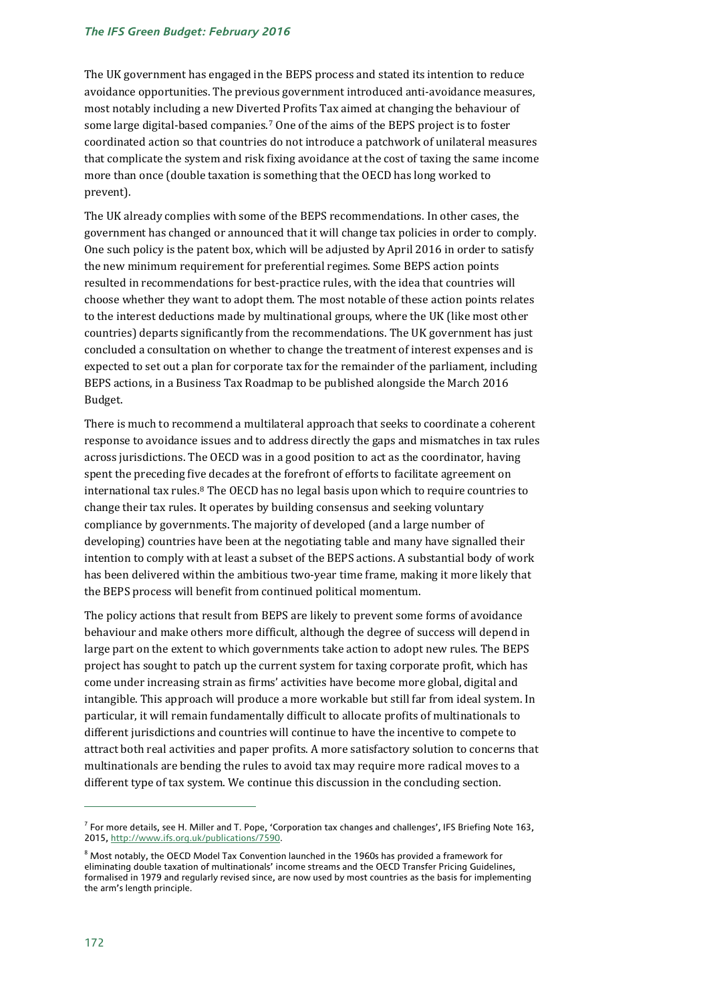The UK government has engaged in the BEPS process and stated its intention to reduce avoidance opportunities. The previous government introduced anti-avoidance measures, most notably including a new Divert[e](#page-3-0)d Profits Tax aimed at changing the behaviour of some large digital-based companies.7 One of the aims of the BEPS project is to foster coordinated action so that countries do not introduce a patchwork of unilateral measures that complicate the system and risk fixing avoidance at the cost of taxing the same income more than once (double taxation is something that the OECD has long worked to prevent).

The UK already complies with some of the BEPS recommendations. In other cases, the government has changed or announced that it will change tax policies in order to comply. One such policy is the patent box, which will be adjusted by April 2016 in order to satisfy the new minimum requirement for preferential regimes. Some BEPS action points resulted in recommendations for best-practice rules, with the idea that countries will choose whether they want to adopt them. The most notable of these action points relates to the interest deductions made by multinational groups, where the UK (like most other countries) departs significantly from the recommendations. The UK government has just concluded a consultation on whether to change the treatment of interest expenses and is expected to set out a plan for corporate tax for the remainder of the parliament, including BEPS actions, in a Business Tax Roadmap to be published alongside the March 2016 Budget.

There is much to recommend a multilateral approach that seeks to coordinate a coherent response to avoidance issues and to address directly the gaps and mismatches in tax rules across jurisdictions. The OECD was in a good position to act as the coordinator, having spent the preceding five decades at the forefront of efforts to facilitate agreement on international tax rules.[8](#page-3-1) The OECD has no legal basis upon which to require countries to change their tax rules. It operates by building consensus and seeking voluntary compliance by governments. The majority of developed (and a large number of developing) countries have been at the negotiating table and many have signalled their intention to comply with at least a subset of the BEPS actions. A substantial body of work has been delivered within the ambitious two-year time frame, making it more likely that the BEPS process will benefit from continued political momentum.

The policy actions that result from BEPS are likely to prevent some forms of avoidance behaviour and make others more difficult, although the degree of success will depend in large part on the extent to which governments take action to adopt new rules. The BEPS project has sought to patch up the current system for taxing corporate profit, which has come under increasing strain as firms' activities have become more global, digital and intangible. This approach will produce a more workable but still far from ideal system. In particular, it will remain fundamentally difficult to allocate profits of multinationals to different jurisdictions and countries will continue to have the incentive to compete to attract both real activities and paper profits. A more satisfactory solution to concerns that multinationals are bending the rules to avoid tax may require more radical moves to a different type of tax system. We continue this discussion in the concluding section.

<span id="page-3-0"></span> $^7$  For more details, see H. Miller and T. Pope, 'Corporation tax changes and challenges', IFS Briefing Note 163, 2015, http://www.ifs.org.uk/publications/7590.

<span id="page-3-1"></span><sup>8</sup> Most notably, the OECD Model Tax Convention launched in the 1960s has provided a framework for eliminating double taxation of multinationals' income streams and the OECD Transfer Pricing Guidelines, formalised in 1979 and regularly revised since, are now used by most countries as the basis for implementing the arm's length principle.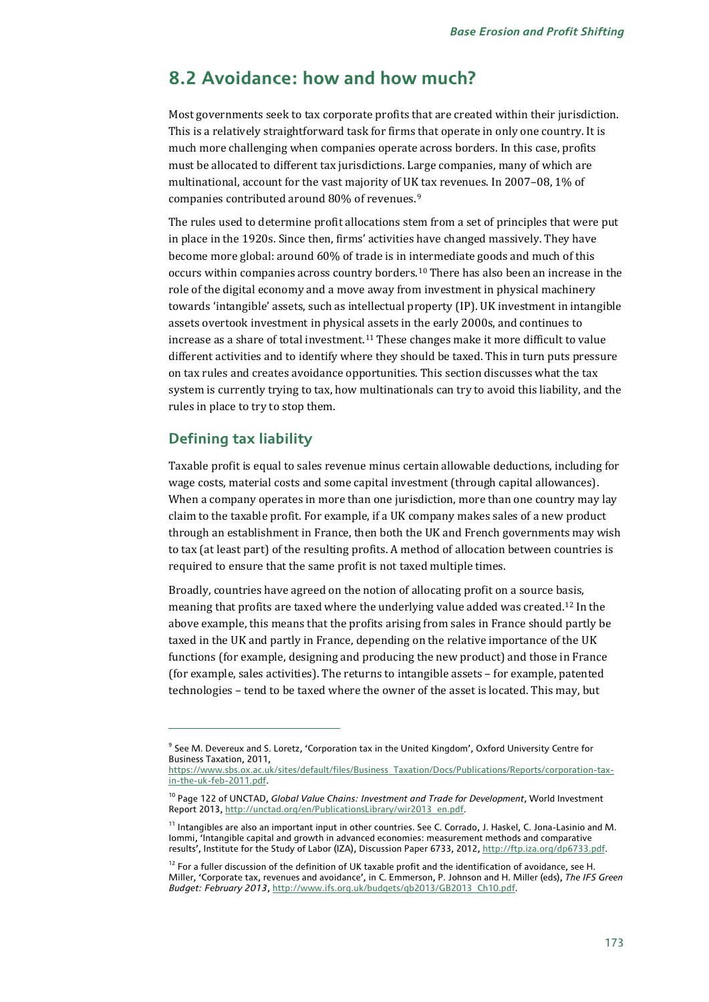# **8.2 Avoidance: how and how much?**

Most governments seek to tax corporate profits that are created within their jurisdiction. This is a relatively straightforward task for firms that operate in only one country. It is much more challenging when companies operate across borders. In this case, profits must be allocated to different tax jurisdictions. Large companies, many of which are multinational, account for the vast majority of UK tax revenues. In 2007–08, 1% of companies contributed around 80% of revenues.[9](#page-4-0)

The rules used to determine profit allocations stem from a set of principles that were put in place in the 1920s. Since then, firms' activities have changed massively. They have become more global: around 60% of trade is in intermediate goods and much of this occurs within companies across country borders.[10](#page-4-1) There has also been an increase in the role of the digital economy and a move away from investment in physical machinery towards 'intangible' assets, such as intellectual property (IP). UK investment in intangible assets overtook investment in physical assets in the early 2000s, and continues to increase as a share of total investment.[11](#page-4-2) These changes make it more difficult to value different activities and to identify where they should be taxed. This in turn puts pressure on tax rules and creates avoidance opportunities. This section discusses what the tax system is currently trying to tax, how multinationals can try to avoid this liability, and the rules in place to try to stop them.

### **Defining tax liability**

j

Taxable profit is equal to sales revenue minus certain allowable deductions, including for wage costs, material costs and some capital investment (through capital allowances). When a company operates in more than one jurisdiction, more than one country may lay claim to the taxable profit. For example, if a UK company makes sales of a new product through an establishment in France, then both the UK and French governments may wish to tax (at least part) of the resulting profits. A method of allocation between countries is required to ensure that the same profit is not taxed multiple times.

Broadly, countries have agreed on the notion of allocating profit on a source basis, meaning that profits are taxed where the underlying value added was created.[12](#page-4-3) In the above example, this means that the profits arising from sales in France should partly be taxed in the UK and partly in France, depending on the relative importance of the UK functions (for example, designing and producing the new product) and those in France (for example, sales activities). The returns to intangible assets – for example, patented technologies – tend to be taxed where the owner of the asset is located. This may, but

<span id="page-4-0"></span><sup>9</sup> See M. Devereux and S. Loretz, 'Corporation tax in the United Kingdom', Oxford University Centre for Business Taxation, 2011,

[https://www.sbs.ox.ac.uk/sites/default/files/Business\\_Taxation/Docs/Publications/Reports/corporation-tax](https://www.sbs.ox.ac.uk/sites/default/files/Business_Taxation/Docs/Publications/Reports/corporation-tax-in-the-uk-feb-2011.pdf)[in-the-uk-feb-2011.pdf.](https://www.sbs.ox.ac.uk/sites/default/files/Business_Taxation/Docs/Publications/Reports/corporation-tax-in-the-uk-feb-2011.pdf) 

<span id="page-4-1"></span><sup>10</sup> Page 122 of UNCTAD, *Global Value Chains: Investment and Trade for Development*, World Investment Report 2013[, http://unctad.org/en/PublicationsLibrary/wir2013\\_en.pdf.](http://unctad.org/en/PublicationsLibrary/wir2013_en.pdf)

<span id="page-4-2"></span><sup>&</sup>lt;sup>11</sup> Intangibles are also an important input in other countries. See C. Corrado, J. Haskel, C. Jona-Lasinio and M. Iommi, 'Intangible capital and growth in advanced economies: measurement methods and comparative results', Institute for the Study of Labor (IZA), Discussion Paper 6733, 2012[, http://ftp.iza.org/dp6733.pdf.](http://ftp.iza.org/dp6733.pdf)

<span id="page-4-3"></span><sup>&</sup>lt;sup>12</sup> For a fuller discussion of the definition of UK taxable profit and the identification of avoidance, see H. Miller, 'Corporate tax, revenues and avoidance', in C. Emmerson, P. Johnson and H. Miller (eds), *The IFS Green Budget: February 2013*[, http://www.ifs.org.uk/budgets/gb2013/GB2013\\_Ch10.pdf.](http://www.ifs.org.uk/budgets/gb2013/GB2013_Ch10.pdf)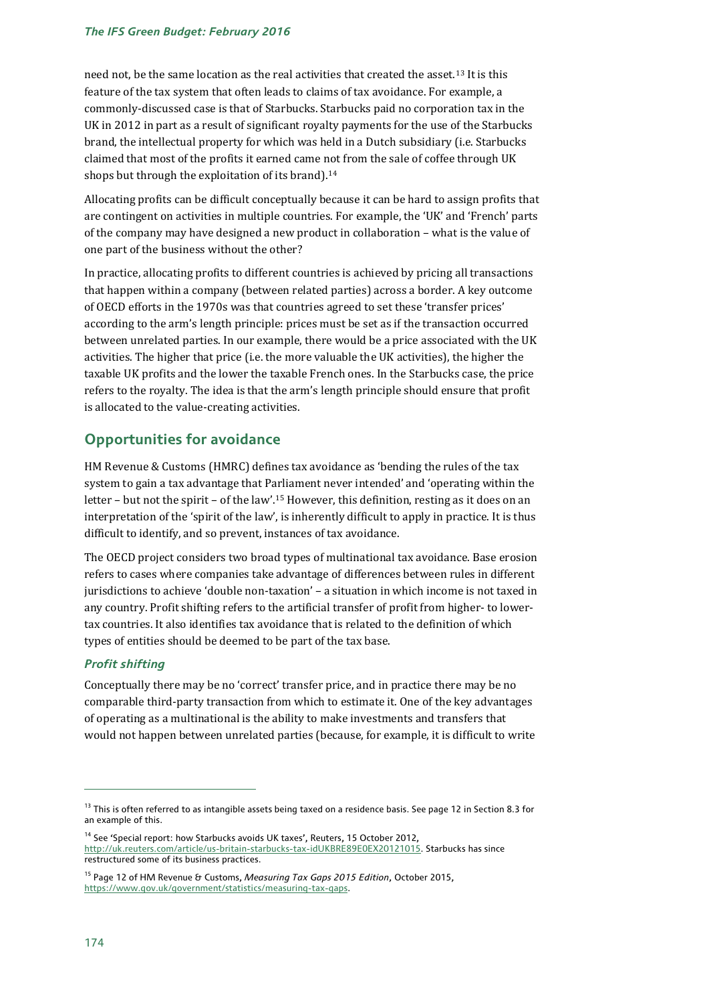#### *The IFS Green Budget: February 2016*

need not, be the same location as the real activities that created the asset.[13](#page-5-0) It is this feature of the tax system that often leads to claims of tax avoidance. For example, a commonly-discussed case is that of Starbucks. Starbucks paid no corporation tax in the UK in 2012 in part as a result of significant royalty payments for the use of the Starbucks brand, the intellectual property for which was held in a Dutch subsidiary (i.e. Starbucks claimed that most of the profits it earned came not from the sale of coffee through UK shops but through the exploitation of its brand).<sup>[14](#page-5-1)</sup>

Allocating profits can be difficult conceptually because it can be hard to assign profits that are contingent on activities in multiple countries. For example, the 'UK' and 'French' parts of the company may have designed a new product in collaboration – what is the value of one part of the business without the other?

In practice, allocating profits to different countries is achieved by pricing all transactions that happen within a company (between related parties) across a border. A key outcome of OECD efforts in the 1970s was that countries agreed to set these 'transfer prices' according to the arm's length principle: prices must be set as if the transaction occurred between unrelated parties. In our example, there would be a price associated with the UK activities. The higher that price (i.e. the more valuable the UK activities), the higher the taxable UK profits and the lower the taxable French ones. In the Starbucks case, the price refers to the royalty. The idea is that the arm's length principle should ensure that profit is allocated to the value-creating activities.

# **Opportunities for avoidance**

HM Revenue & Customs (HMRC) defines tax avoidance as 'bending the rules of the tax system to gain a tax advantage that Parliament never intended' and 'operating within the letter – but not the spirit – of the law'.[15](#page-5-2) However, this definition, resting as it does on an interpretation of the 'spirit of the law', is inherently difficult to apply in practice. It is thus difficult to identify, and so prevent, instances of tax avoidance.

The OECD project considers two broad types of multinational tax avoidance. Base erosion refers to cases where companies take advantage of differences between rules in different jurisdictions to achieve 'double non-taxation' – a situation in which income is not taxed in any country. Profit shifting refers to the artificial transfer of profit from higher- to lowertax countries. It also identifies tax avoidance that is related to the definition of which types of entities should be deemed to be part of the tax base.

### *Profit shifting*

Conceptually there may be no 'correct' transfer price, and in practice there may be no comparable third-party transaction from which to estimate it. One of the key advantages of operating as a multinational is the ability to make investments and transfers that would not happen between unrelated parties (because, for example, it is difficult to write

<span id="page-5-0"></span><sup>&</sup>lt;sup>13</sup> This is often referred to as intangible assets being taxed on a residence basis. See pag[e 12](#page-11-0) in Section 8.3 for an example of this.

<span id="page-5-1"></span><sup>&</sup>lt;sup>14</sup> See 'Special report: how Starbucks avoids UK taxes', Reuters, 15 October 2012, [http://uk.reuters.com/article/us-britain-starbucks-tax-idUKBRE89E0EX20121015.](http://uk.reuters.com/article/us-britain-starbucks-tax-idUKBRE89E0EX20121015) Starbucks has since restructured some of its business practices.

<span id="page-5-2"></span><sup>15</sup> Page 12 of HM Revenue & Customs, *Measuring Tax Gaps 2015 Edition*, October 2015, [https://www.gov.uk/government/statistics/measuring-tax-gaps.](https://www.gov.uk/government/statistics/measuring-tax-gaps)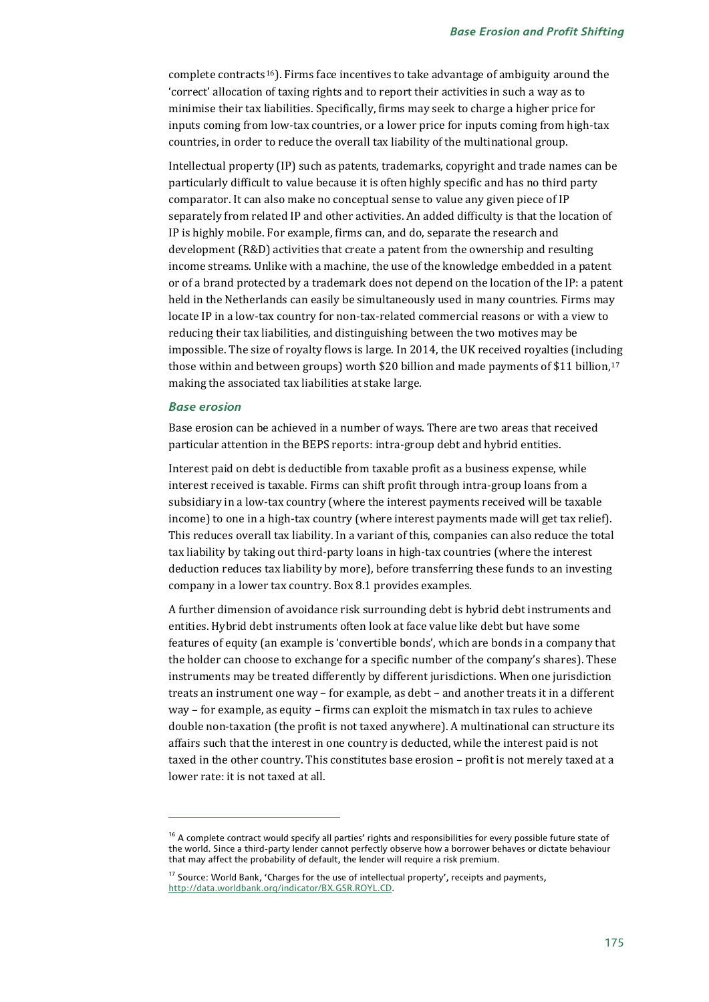complete contracts<sup>16</sup>). Firms face incentives to take advantage of ambiguity around the 'correct' allocation of taxing rights and to report their activities in such a way as to minimise their tax liabilities. Specifically, firms may seek to charge a higher price for inputs coming from low-tax countries, or a lower price for inputs coming from high-tax countries, in order to reduce the overall tax liability of the multinational group.

Intellectual property (IP) such as patents, trademarks, copyright and trade names can be particularly difficult to value because it is often highly specific and has no third party comparator. It can also make no conceptual sense to value any given piece of IP separately from related IP and other activities. An added difficulty is that the location of IP is highly mobile. For example, firms can, and do, separate the research and development (R&D) activities that create a patent from the ownership and resulting income streams. Unlike with a machine, the use of the knowledge embedded in a patent or of a brand protected by a trademark does not depend on the location of the IP: a patent held in the Netherlands can easily be simultaneously used in many countries. Firms may locate IP in a low-tax country for non-tax-related commercial reasons or with a view to reducing their tax liabilities, and distinguishing between the two motives may be impossible. The size of royalty flows is large. In 2014, the UK received royalties (including those within and between groups) worth \$20 billion and made payments of \$11 billion,<sup>[17](#page-6-1)</sup> making the associated tax liabilities at stake large.

#### *Base erosion*

j

Base erosion can be achieved in a number of ways. There are two areas that received particular attention in the BEPS reports: intra-group debt and hybrid entities.

Interest paid on debt is deductible from taxable profit as a business expense, while interest received is taxable. Firms can shift profit through intra-group loans from a subsidiary in a low-tax country (where the interest payments received will be taxable income) to one in a high-tax country (where interest payments made will get tax relief). This reduces overall tax liability. In a variant of this, companies can also reduce the total tax liability by taking out third-party loans in high-tax countries (where the interest deduction reduces tax liability by more), before transferring these funds to an investing company in a lower tax country. Box 8.1 provides examples.

A further dimension of avoidance risk surrounding debt is hybrid debt instruments and entities. Hybrid debt instruments often look at face value like debt but have some features of equity (an example is 'convertible bonds', which are bonds in a company that the holder can choose to exchange for a specific number of the company's shares). These instruments may be treated differently by different jurisdictions. When one jurisdiction treats an instrument one way – for example, as debt – and another treats it in a different way – for example, as equity – firms can exploit the mismatch in tax rules to achieve double non-taxation (the profit is not taxed anywhere). A multinational can structure its affairs such that the interest in one country is deducted, while the interest paid is not taxed in the other country. This constitutes base erosion – profit is not merely taxed at a lower rate: it is not taxed at all.

<span id="page-6-0"></span> $16$  A complete contract would specify all parties' rights and responsibilities for every possible future state of the world. Since a third-party lender cannot perfectly observe how a borrower behaves or dictate behaviour that may affect the probability of default, the lender will require a risk premium.

<span id="page-6-1"></span><sup>&</sup>lt;sup>17</sup> Source: World Bank, 'Charges for the use of intellectual property', receipts and payments, [http://data.worldbank.org/indicator/BX.GSR.ROYL.CD.](http://data.worldbank.org/indicator/BX.GSR.ROYL.CD)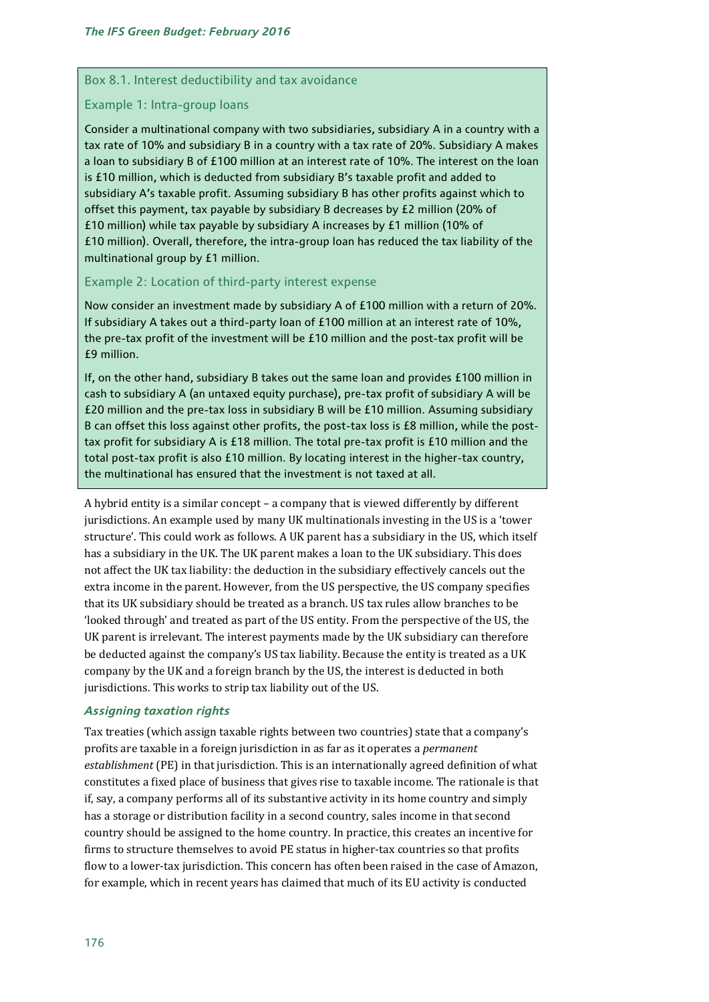#### Box 8.1. Interest deductibility and tax avoidance

#### Example 1: Intra-group loans

Consider a multinational company with two subsidiaries, subsidiary A in a country with a tax rate of 10% and subsidiary B in a country with a tax rate of 20%. Subsidiary A makes a loan to subsidiary B of £100 million at an interest rate of 10%. The interest on the loan is £10 million, which is deducted from subsidiary B's taxable profit and added to subsidiary A's taxable profit. Assuming subsidiary B has other profits against which to offset this payment, tax payable by subsidiary B decreases by £2 million (20% of £10 million) while tax payable by subsidiary A increases by £1 million (10% of £10 million). Overall, therefore, the intra-group loan has reduced the tax liability of the multinational group by £1 million.

### Example 2: Location of third-party interest expense

Now consider an investment made by subsidiary A of £100 million with a return of 20%. If subsidiary A takes out a third-party loan of £100 million at an interest rate of 10%, the pre-tax profit of the investment will be £10 million and the post-tax profit will be £9 million.

If, on the other hand, subsidiary B takes out the same loan and provides £100 million in cash to subsidiary A (an untaxed equity purchase), pre-tax profit of subsidiary A will be £20 million and the pre-tax loss in subsidiary B will be £10 million. Assuming subsidiary B can offset this loss against other profits, the post-tax loss is £8 million, while the posttax profit for subsidiary A is £18 million. The total pre-tax profit is £10 million and the total post-tax profit is also £10 million. By locating interest in the higher-tax country, the multinational has ensured that the investment is not taxed at all.

A hybrid entity is a similar concept – a company that is viewed differently by different jurisdictions. An example used by many UK multinationals investing in the US is a 'tower structure'. This could work as follows. A UK parent has a subsidiary in the US, which itself has a subsidiary in the UK. The UK parent makes a loan to the UK subsidiary. This does not affect the UK tax liability: the deduction in the subsidiary effectively cancels out the extra income in the parent. However, from the US perspective, the US company specifies that its UK subsidiary should be treated as a branch. US tax rules allow branches to be 'looked through' and treated as part of the US entity. From the perspective of the US, the UK parent is irrelevant. The interest payments made by the UK subsidiary can therefore be deducted against the company's US tax liability. Because the entity is treated as a UK company by the UK and a foreign branch by the US, the interest is deducted in both jurisdictions. This works to strip tax liability out of the US.

#### *Assigning taxation rights*

Tax treaties (which assign taxable rights between two countries) state that a company's profits are taxable in a foreign jurisdiction in as far as it operates a *permanent establishment* (PE) in that jurisdiction. This is an internationally agreed definition of what constitutes a fixed place of business that gives rise to taxable income. The rationale is that if, say, a company performs all of its substantive activity in its home country and simply has a storage or distribution facility in a second country, sales income in that second country should be assigned to the home country. In practice, this creates an incentive for firms to structure themselves to avoid PE status in higher-tax countries so that profits flow to a lower-tax jurisdiction. This concern has often been raised in the case of Amazon, for example, which in recent years has claimed that much of its EU activity is conducted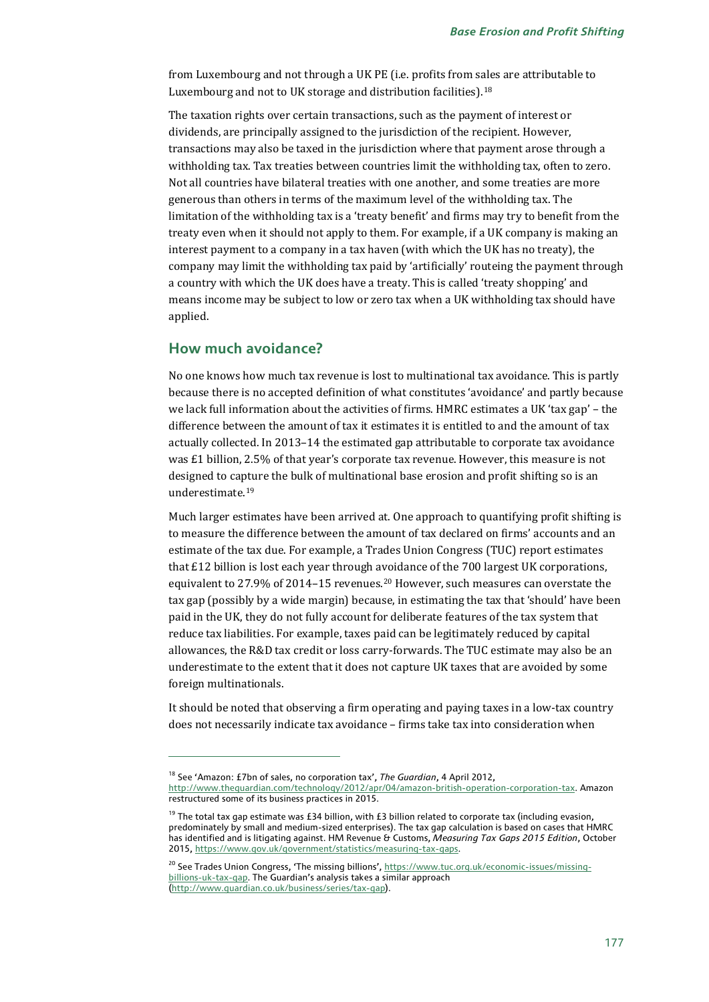from Luxembourg and not through a UK PE (i.e. profits from sales are attributable to Luxembourg and not to UK storage and distribution facilities).<sup>[18](#page-8-0)</sup>

The taxation rights over certain transactions, such as the payment of interest or dividends, are principally assigned to the jurisdiction of the recipient. However, transactions may also be taxed in the jurisdiction where that payment arose through a withholding tax. Tax treaties between countries limit the withholding tax, often to zero. Not all countries have bilateral treaties with one another, and some treaties are more generous than others in terms of the maximum level of the withholding tax. The limitation of the withholding tax is a 'treaty benefit' and firms may try to benefit from the treaty even when it should not apply to them. For example, if a UK company is making an interest payment to a company in a tax haven (with which the UK has no treaty), the company may limit the withholding tax paid by 'artificially' routeing the payment through a country with which the UK does have a treaty. This is called 'treaty shopping' and means income may be subject to low or zero tax when a UK withholding tax should have applied.

# **How much avoidance?**

j

No one knows how much tax revenue is lost to multinational tax avoidance. This is partly because there is no accepted definition of what constitutes 'avoidance' and partly because we lack full information about the activities of firms. HMRC estimates a UK 'tax gap' – the difference between the amount of tax it estimates it is entitled to and the amount of tax actually collected. In 2013–14 the estimated gap attributable to corporate tax avoidance was £1 billion, 2.5% of that year's corporate tax revenue.However, this measure is not designed to capture the bulk of multinational base erosion and profit shifting so is an underestimate.[19](#page-8-1)

Much larger estimates have been arrived at. One approach to quantifying profit shifting is to measure the difference between the amount of tax declared on firms' accounts and an estimate of the tax due. For example, a Trades Union Congress (TUC) report estimates that £12 billion is lost each year through avoidance of the 700 largest UK corporations, equivalent to 27.9% of 2014–15 revenues.[20](#page-8-2) However, such measures can overstate the tax gap (possibly by a wide margin) because, in estimating the tax that 'should' have been paid in the UK, they do not fully account for deliberate features of the tax system that reduce tax liabilities. For example, taxes paid can be legitimately reduced by capital allowances, the R&D tax credit or loss carry-forwards. The TUC estimate may also be an underestimate to the extent that it does not capture UK taxes that are avoided by some foreign multinationals.

It should be noted that observing a firm operating and paying taxes in a low-tax country does not necessarily indicate tax avoidance – firms take tax into consideration when

<sup>18</sup> See 'Amazon: £7bn of sales, no corporation tax', *The Guardian*, 4 April 2012,

<span id="page-8-0"></span>[http://www.theguardian.com/technology/2012/apr/04/amazon-british-operation-corporation-tax.](http://www.theguardian.com/technology/2012/apr/04/amazon-british-operation-corporation-tax) Amazon restructured some of its business practices in 2015.

<span id="page-8-1"></span> $19$  The total tax gap estimate was £34 billion, with £3 billion related to corporate tax (including evasion, predominately by small and medium-sized enterprises). The tax gap calculation is based on cases that HMRC has identified and is litigating against. HM Revenue & Customs, *Measuring Tax Gaps 2015 Edition*, October 2015, [https://www.gov.uk/government/statistics/measuring-tax-gaps.](https://www.gov.uk/government/statistics/measuring-tax-gaps)

<span id="page-8-2"></span><sup>&</sup>lt;sup>20</sup> See Trades Union Congress, 'The missing billions', [https://www.tuc.org.uk/economic-issues/missing](https://www.tuc.org.uk/economic-issues/missing-billions-uk-tax-gap)[billions-uk-tax-gap.](https://www.tuc.org.uk/economic-issues/missing-billions-uk-tax-gap) The Guardian's analysis takes a similar approach [\(http://www.guardian.co.uk/business/series/tax-gap\)](http://www.guardian.co.uk/business/series/tax-gap).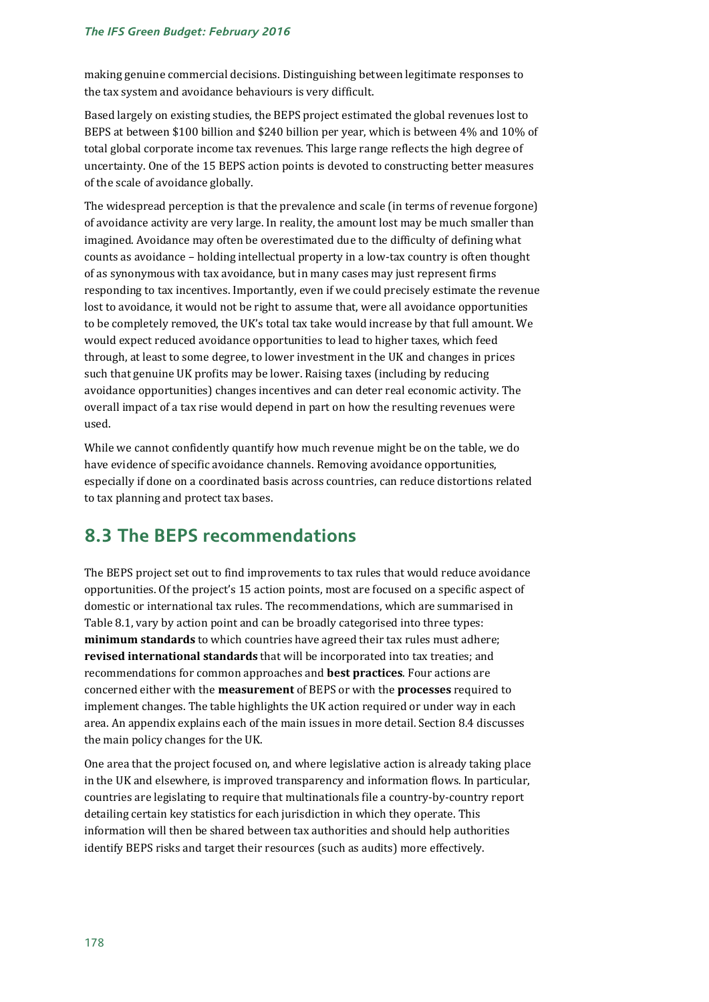making genuine commercial decisions. Distinguishing between legitimate responses to the tax system and avoidance behaviours is very difficult.

Based largely on existing studies, the BEPS project estimated the global revenues lost to BEPS at between \$100 billion and \$240 billion per year, which is between 4% and 10% of total global corporate income tax revenues. This large range reflects the high degree of uncertainty. One of the 15 BEPS action points is devoted to constructing better measures of the scale of avoidance globally.

The widespread perception is that the prevalence and scale (in terms of revenue forgone) of avoidance activity are very large. In reality, the amount lost may be much smaller than imagined. Avoidance may often be overestimated due to the difficulty of defining what counts as avoidance – holding intellectual property in a low-tax country is often thought of as synonymous with tax avoidance, but in many cases may just represent firms responding to tax incentives. Importantly, even if we could precisely estimate the revenue lost to avoidance, it would not be right to assume that, were all avoidance opportunities to be completely removed, the UK's total tax take would increase by that full amount. We would expect reduced avoidance opportunities to lead to higher taxes, which feed through, at least to some degree, to lower investment in the UK and changes in prices such that genuine UK profits may be lower. Raising taxes (including by reducing avoidance opportunities) changes incentives and can deter real economic activity. The overall impact of a tax rise would depend in part on how the resulting revenues were used.

While we cannot confidently quantify how much revenue might be on the table, we do have evidence of specific avoidance channels. Removing avoidance opportunities, especially if done on a coordinated basis across countries, can reduce distortions related to tax planning and protect tax bases.

# **8.3 The BEPS recommendations**

The BEPS project set out to find improvements to tax rules that would reduce avoidance opportunities. Of the project's 15 action points, most are focused on a specific aspect of domestic or international tax rules. The recommendations, which are summarised in Table 8.1, vary by action point and can be broadly categorised into three types: **minimum standards** to which countries have agreed their tax rules must adhere; **revised international standards** that will be incorporated into tax treaties; and recommendations for common approaches and **best practices**. Four actions are concerned either with the **measurement** of BEPS or with the **processes** required to implement changes. The table highlights the UK action required or under way in each area. An appendix explains each of the main issues in more detail. Section 8.4 discusses the main policy changes for the UK.

One area that the project focused on, and where legislative action is already taking place in the UK and elsewhere, is improved transparency and information flows. In particular, countries are legislating to require that multinationals file a country-by-country report detailing certain key statistics for each jurisdiction in which they operate. This information will then be shared between tax authorities and should help authorities identify BEPS risks and target their resources (such as audits) more effectively.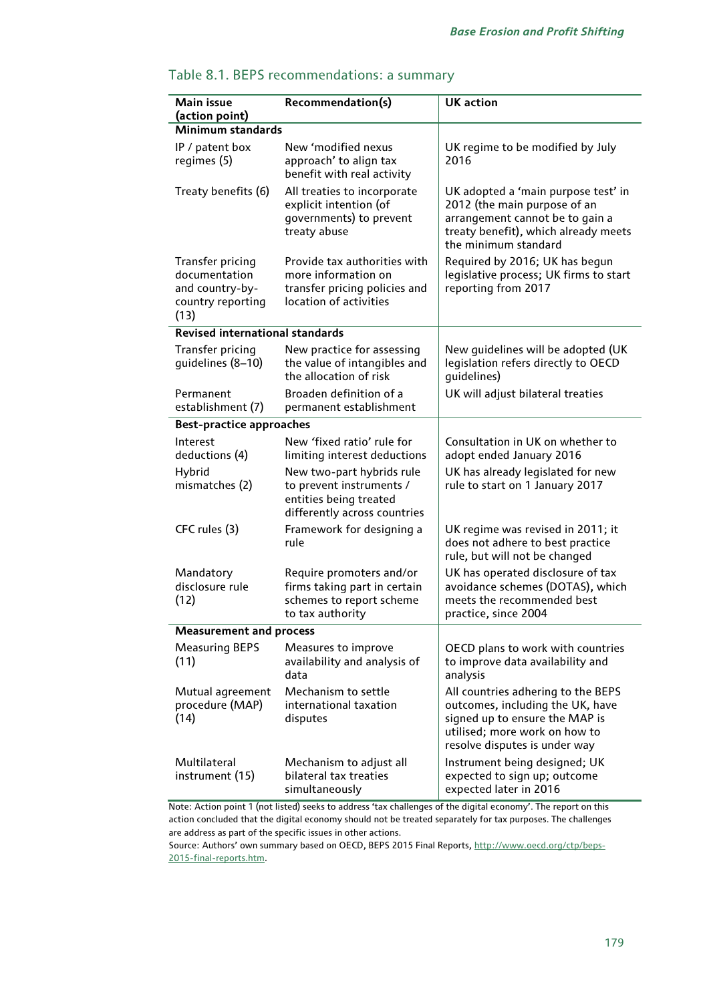| Main issue<br>(action point)                                                             | Recommendation(s)                                                                                               | <b>UK</b> action                                                                                                                                                           |
|------------------------------------------------------------------------------------------|-----------------------------------------------------------------------------------------------------------------|----------------------------------------------------------------------------------------------------------------------------------------------------------------------------|
| <b>Minimum standards</b>                                                                 |                                                                                                                 |                                                                                                                                                                            |
| IP / patent box<br>regimes (5)                                                           | New 'modified nexus<br>approach' to align tax<br>benefit with real activity                                     | UK regime to be modified by July<br>2016                                                                                                                                   |
| Treaty benefits (6)                                                                      | All treaties to incorporate<br>explicit intention (of<br>governments) to prevent<br>treaty abuse                | UK adopted a 'main purpose test' in<br>2012 (the main purpose of an<br>arrangement cannot be to gain a<br>treaty benefit), which already meets<br>the minimum standard     |
| <b>Transfer pricing</b><br>documentation<br>and country-by-<br>country reporting<br>(13) | Provide tax authorities with<br>more information on<br>transfer pricing policies and<br>location of activities  | Required by 2016; UK has begun<br>legislative process; UK firms to start<br>reporting from 2017                                                                            |
| <b>Revised international standards</b>                                                   |                                                                                                                 |                                                                                                                                                                            |
| <b>Transfer pricing</b><br>guidelines (8-10)                                             | New practice for assessing<br>the value of intangibles and<br>the allocation of risk                            | New guidelines will be adopted (UK<br>legislation refers directly to OECD<br>quidelines)                                                                                   |
| Permanent<br>establishment (7)                                                           | Broaden definition of a<br>permanent establishment                                                              | UK will adjust bilateral treaties                                                                                                                                          |
| <b>Best-practice approaches</b>                                                          |                                                                                                                 |                                                                                                                                                                            |
| Interest<br>deductions (4)                                                               | New 'fixed ratio' rule for<br>limiting interest deductions                                                      | Consultation in UK on whether to<br>adopt ended January 2016                                                                                                               |
| Hybrid<br>mismatches (2)                                                                 | New two-part hybrids rule<br>to prevent instruments /<br>entities being treated<br>differently across countries | UK has already legislated for new<br>rule to start on 1 January 2017                                                                                                       |
| CFC rules (3)                                                                            | Framework for designing a<br>rule                                                                               | UK regime was revised in 2011; it<br>does not adhere to best practice<br>rule, but will not be changed                                                                     |
| Mandatory<br>disclosure rule<br>(12)                                                     | Require promoters and/or<br>firms taking part in certain<br>schemes to report scheme<br>to tax authority        | UK has operated disclosure of tax<br>avoidance schemes (DOTAS), which<br>meets the recommended best<br>practice, since 2004                                                |
| <b>Measurement and process</b>                                                           |                                                                                                                 |                                                                                                                                                                            |
| <b>Measuring BEPS</b><br>(11)                                                            | Measures to improve<br>availability and analysis of<br>data                                                     | OECD plans to work with countries<br>to improve data availability and<br>analysis                                                                                          |
| Mutual agreement<br>procedure (MAP)<br>(14)                                              | Mechanism to settle<br>international taxation<br>disputes                                                       | All countries adhering to the BEPS<br>outcomes, including the UK, have<br>signed up to ensure the MAP is<br>utilised; more work on how to<br>resolve disputes is under way |
| Multilateral<br>instrument (15)                                                          | Mechanism to adjust all<br>bilateral tax treaties<br>simultaneously                                             | Instrument being designed; UK<br>expected to sign up; outcome<br>expected later in 2016                                                                                    |

# Table 8.1. BEPS recommendations: a summary

Note: Action point 1 (not listed) seeks to address 'tax challenges of the digital economy'. The report on this action concluded that the digital economy should not be treated separately for tax purposes. The challenges are address as part of the specific issues in other actions.

Source: Authors' own summary based on OECD, BEPS 2015 Final Reports, [http://www.oecd.org/ctp/beps-](http://www.oecd.org/ctp/beps-2015-final-reports.htm)[2015-final-reports.htm.](http://www.oecd.org/ctp/beps-2015-final-reports.htm)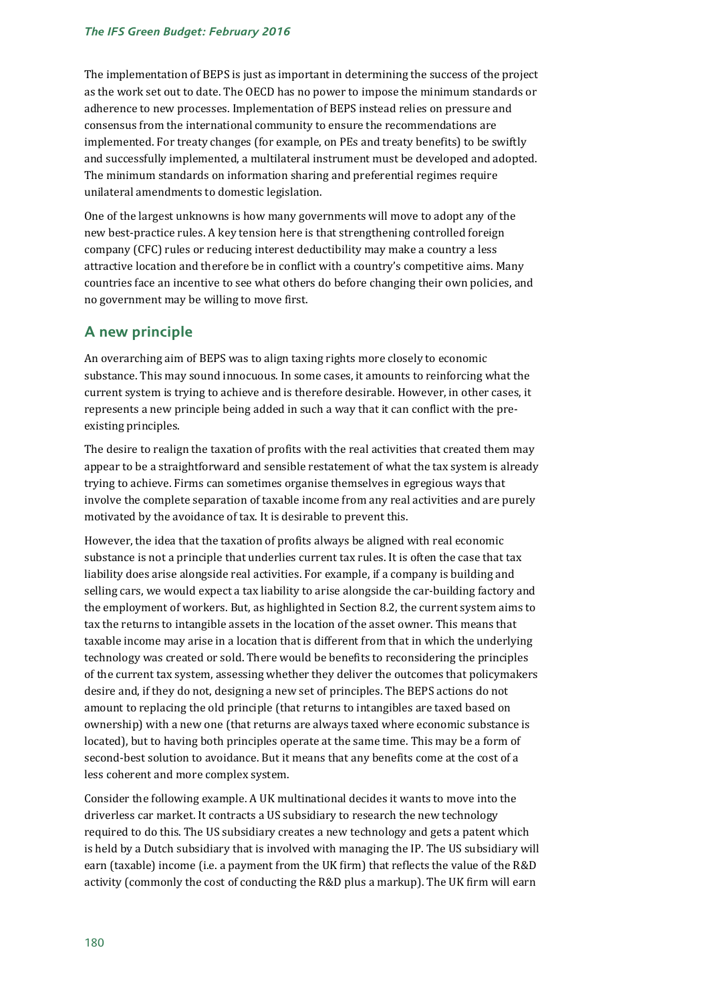The implementation of BEPS is just as important in determining the success of the project as the work set out to date. The OECD has no power to impose the minimum standards or adherence to new processes. Implementation of BEPS instead relies on pressure and consensus from the international community to ensure the recommendations are implemented. For treaty changes (for example, on PEs and treaty benefits) to be swiftly and successfully implemented, a multilateral instrument must be developed and adopted. The minimum standards on information sharing and preferential regimes require unilateral amendments to domestic legislation.

One of the largest unknowns is how many governments will move to adopt any of the new best-practice rules. A key tension here is that strengthening controlled foreign company (CFC) rules or reducing interest deductibility may make a country a less attractive location and therefore be in conflict with a country's competitive aims. Many countries face an incentive to see what others do before changing their own policies, and no government may be willing to move first.

# **A new principle**

An overarching aim of BEPS was to align taxing rights more closely to economic substance. This may sound innocuous. In some cases, it amounts to reinforcing what the current system is trying to achieve and is therefore desirable. However, in other cases, it represents a new principle being added in such a way that it can conflict with the preexisting principles.

The desire to realign the taxation of profits with the real activities that created them may appear to be a straightforward and sensible restatement of what the tax system is already trying to achieve. Firms can sometimes organise themselves in egregious ways that involve the complete separation of taxable income from any real activities and are purely motivated by the avoidance of tax. It is desirable to prevent this.

However, the idea that the taxation of profits always be aligned with real economic substance is not a principle that underlies current tax rules. It is often the case that tax liability does arise alongside real activities. For example, if a company is building and selling cars, we would expect a tax liability to arise alongside the car-building factory and the employment of workers. But, as highlighted in Section 8.2, the current system aims to tax the returns to intangible assets in the location of the asset owner. This means that taxable income may arise in a location that is different from that in which the underlying technology was created or sold. There would be benefits to reconsidering the principles of the current tax system, assessing whether they deliver the outcomes that policymakers desire and, if they do not, designing a new set of principles. The BEPS actions do not amount to replacing the old principle (that returns to intangibles are taxed based on ownership) with a new one (that returns are always taxed where economic substance is located), but to having both principles operate at the same time. This may be a form of second-best solution to avoidance. But it means that any benefits come at the cost of a less coherent and more complex system.

<span id="page-11-0"></span>Consider the following example. A UK multinational decides it wants to move into the driverless car market. It contracts a US subsidiary to research the new technology required to do this. The US subsidiary creates a new technology and gets a patent which is held by a Dutch subsidiary that is involved with managing the IP. The US subsidiary will earn (taxable) income (i.e. a payment from the UK firm) that reflects the value of the R&D activity (commonly the cost of conducting the R&D plus a markup). The UK firm will earn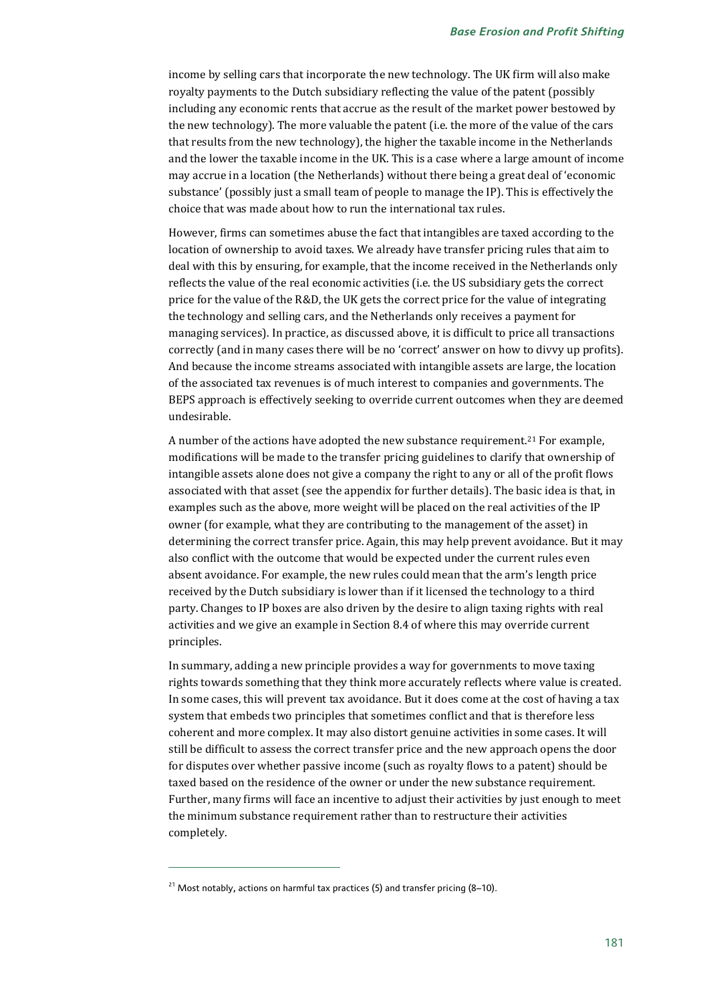income by selling cars that incorporate the new technology. The UK firm will also make royalty payments to the Dutch subsidiary reflecting the value of the patent (possibly including any economic rents that accrue as the result of the market power bestowed by the new technology). The more valuable the patent (i.e. the more of the value of the cars that results from the new technology), the higher the taxable income in the Netherlands and the lower the taxable income in the UK. This is a case where a large amount of income may accrue in a location (the Netherlands) without there being a great deal of 'economic substance' (possibly just a small team of people to manage the IP). This is effectively the choice that was made about how to run the international tax rules.

However, firms can sometimes abuse the fact that intangibles are taxed according to the location of ownership to avoid taxes. We already have transfer pricing rules that aim to deal with this by ensuring, for example, that the income received in the Netherlands only reflects the value of the real economic activities (i.e. the US subsidiary gets the correct price for the value of the R&D, the UK gets the correct price for the value of integrating the technology and selling cars, and the Netherlands only receives a payment for managing services). In practice, as discussed above, it is difficult to price all transactions correctly (and in many cases there will be no 'correct' answer on how to divvy up profits). And because the income streams associated with intangible assets are large, the location of the associated tax revenues is of much interest to companies and governments. The BEPS approach is effectively seeking to override current outcomes when they are deemed undesirable.

A number of the actions have adopted the new substance requirement.<sup>[21](#page-12-0)</sup> For example, modifications will be made to the transfer pricing guidelines to clarify that ownership of intangible assets alone does not give a company the right to any or all of the profit flows associated with that asset (see the appendix for further details). The basic idea is that, in examples such as the above, more weight will be placed on the real activities of the IP owner (for example, what they are contributing to the management of the asset) in determining the correct transfer price. Again, this may help prevent avoidance. But it may also conflict with the outcome that would be expected under the current rules even absent avoidance. For example, the new rules could mean that the arm's length price received by the Dutch subsidiary is lower than if it licensed the technology to a third party. Changes to IP boxes are also driven by the desire to align taxing rights with real activities and we give an example in Section 8.4 of where this may override current principles.

In summary, adding a new principle provides a way for governments to move taxing rights towards something that they think more accurately reflects where value is created. In some cases, this will prevent tax avoidance. But it does come at the cost of having a tax system that embeds two principles that sometimes conflict and that is therefore less coherent and more complex. It may also distort genuine activities in some cases. It will still be difficult to assess the correct transfer price and the new approach opens the door for disputes over whether passive income (such as royalty flows to a patent) should be taxed based on the residence of the owner or under the new substance requirement. Further, many firms will face an incentive to adjust their activities by just enough to meet the minimum substance requirement rather than to restructure their activities completely.

<span id="page-12-0"></span><sup>&</sup>lt;sup>21</sup> Most notably, actions on harmful tax practices (5) and transfer pricing (8–10).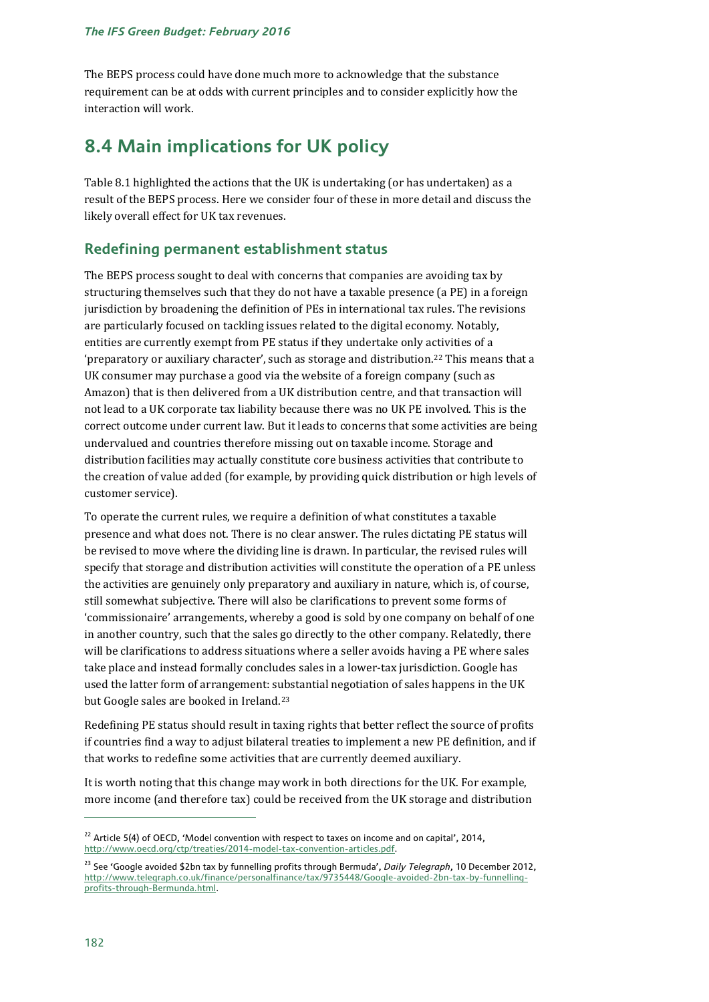The BEPS process could have done much more to acknowledge that the substance requirement can be at odds with current principles and to consider explicitly how the interaction will work.

# **8.4 Main implications for UK policy**

Table 8.1 highlighted the actions that the UK is undertaking (or has undertaken) as a result of the BEPS process. Here we consider four of these in more detail and discuss the likely overall effect for UK tax revenues.

# **Redefining permanent establishment status**

The BEPS process sought to deal with concerns that companies are avoiding tax by structuring themselves such that they do not have a taxable presence (a PE) in a foreign jurisdiction by broadening the definition of PEs in international tax rules. The revisions are particularly focused on tackling issues related to the digital economy. Notably, entities are currently exempt from PE status if they undertake only activities of a 'preparatory or auxiliary character', such as storage and distribution.[22](#page-13-0) This means that a UK consumer may purchase a good via the website of a foreign company (such as Amazon) that is then delivered from a UK distribution centre, and that transaction will not lead to a UK corporate tax liability because there was no UK PE involved. This is the correct outcome under current law. But it leads to concerns that some activities are being undervalued and countries therefore missing out on taxable income. Storage and distribution facilities may actually constitute core business activities that contribute to the creation of value added (for example, by providing quick distribution or high levels of customer service).

To operate the current rules, we require a definition of what constitutes a taxable presence and what does not. There is no clear answer. The rules dictating PE status will be revised to move where the dividing line is drawn. In particular, the revised rules will specify that storage and distribution activities will constitute the operation of a PE unless the activities are genuinely only preparatory and auxiliary in nature, which is, of course, still somewhat subjective. There will also be clarifications to prevent some forms of 'commissionaire' arrangements, whereby a good is sold by one company on behalf of one in another country, such that the sales go directly to the other company. Relatedly, there will be clarifications to address situations where a seller avoids having a PE where sales take place and instead formally concludes sales in a lower-tax jurisdiction. Google has used the latter form of arrangement: substantial negotiation of sales happens in the UK but Google sales are booked in Ireland.[23](#page-13-1)

Redefining PE status should result in taxing rights that better reflect the source of profits if countries find a way to adjust bilateral treaties to implement a new PE definition, and if that works to redefine some activities that are currently deemed auxiliary.

It is worth noting that this change may work in both directions for the UK. For example, more income (and therefore tax) could be received from the UK storage and distribution

<span id="page-13-0"></span> $22$  Article 5(4) of OECD, 'Model convention with respect to taxes on income and on capital', 2014, http://www.oecd.org/ctp/treaties/2014-model-tax-convention-articles.pdf.

<span id="page-13-1"></span><sup>23</sup> See 'Google avoided \$2bn tax by funnelling profits through Bermuda', *Daily Telegraph*, 10 December 2012, [http://www.telegraph.co.uk/finance/personalfinance/tax/9735448/Google-avoided-2bn-tax-by-funnelling](http://www.telegraph.co.uk/finance/personalfinance/tax/9735448/Google-avoided-2bn-tax-by-funnelling-profits-through-Bermunda.html)[profits-through-Bermunda.html.](http://www.telegraph.co.uk/finance/personalfinance/tax/9735448/Google-avoided-2bn-tax-by-funnelling-profits-through-Bermunda.html)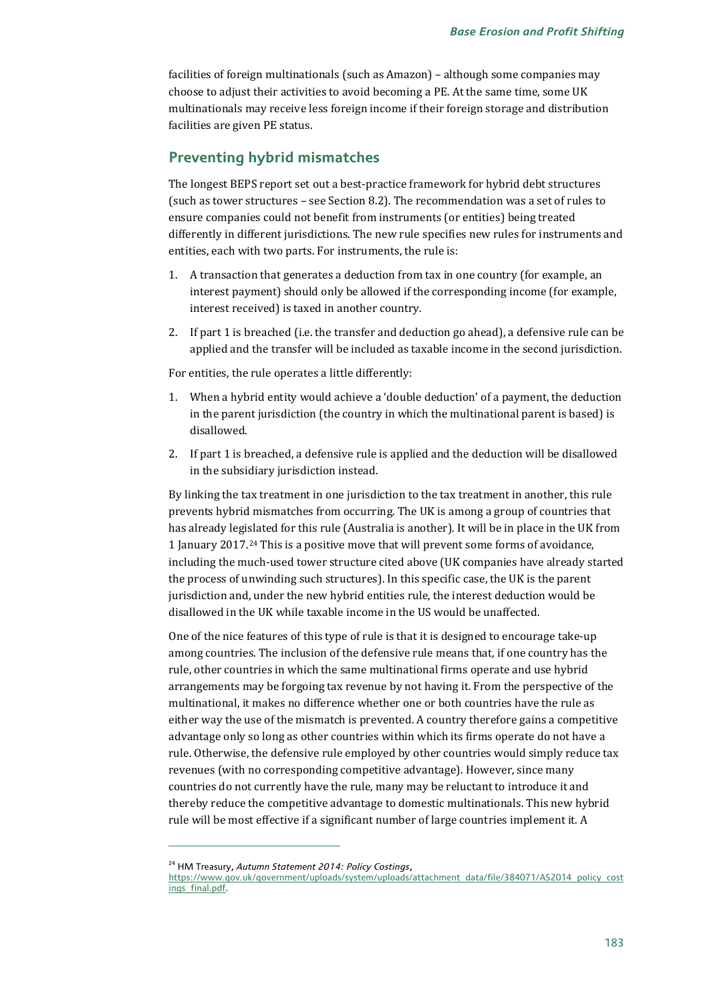facilities of foreign multinationals (such as Amazon) – although some companies may choose to adjust their activities to avoid becoming a PE. At the same time, some UK multinationals may receive less foreign income if their foreign storage and distribution facilities are given PE status.

### **Preventing hybrid mismatches**

The longest BEPS report set out a best-practice framework for hybrid debt structures (such as tower structures – see Section 8.2). The recommendation was a set of rules to ensure companies could not benefit from instruments (or entities) being treated differently in different jurisdictions. The new rule specifies new rules for instruments and entities, each with two parts. For instruments, the rule is:

- 1. A transaction that generates a deduction from tax in one country (for example, an interest payment) should only be allowed if the corresponding income (for example, interest received) is taxed in another country.
- 2. If part 1 is breached (i.e. the transfer and deduction go ahead), a defensive rule can be applied and the transfer will be included as taxable income in the second jurisdiction.

For entities, the rule operates a little differently:

- 1. When a hybrid entity would achieve a 'double deduction' of a payment, the deduction in the parent jurisdiction (the country in which the multinational parent is based) is disallowed.
- 2. If part 1 is breached, a defensive rule is applied and the deduction will be disallowed in the subsidiary jurisdiction instead.

By linking the tax treatment in one jurisdiction to the tax treatment in another, this rule prevents hybrid mismatches from occurring. The UK is among a group of countries that has already legislated for this rule (Australia is another). It will be in place in the UK from 1 January 2017.[24](#page-14-0) This is a positive move that will prevent some forms of avoidance, including the much-used tower structure cited above (UK companies have already started the process of unwinding such structures). In this specific case, the UK is the parent jurisdiction and, under the new hybrid entities rule, the interest deduction would be disallowed in the UK while taxable income in the US would be unaffected.

One of the nice features of this type of rule is that it is designed to encourage take-up among countries. The inclusion of the defensive rule means that, if one country has the rule, other countries in which the same multinational firms operate and use hybrid arrangements may be forgoing tax revenue by not having it. From the perspective of the multinational, it makes no difference whether one or both countries have the rule as either way the use of the mismatch is prevented. A country therefore gains a competitive advantage only so long as other countries within which its firms operate do not have a rule. Otherwise, the defensive rule employed by other countries would simply reduce tax revenues (with no corresponding competitive advantage). However, since many countries do not currently have the rule, many may be reluctant to introduce it and thereby reduce the competitive advantage to domestic multinationals. This new hybrid rule will be most effective if a significant number of large countries implement it. A

<span id="page-14-0"></span><sup>24</sup> HM Treasury, *Autumn Statement 2014: Policy Costings*,

https://www.gov.uk/government/uploads/system/uploads/attachment\_data/file/384071/AS2014\_policy\_cost ings\_final.pdf.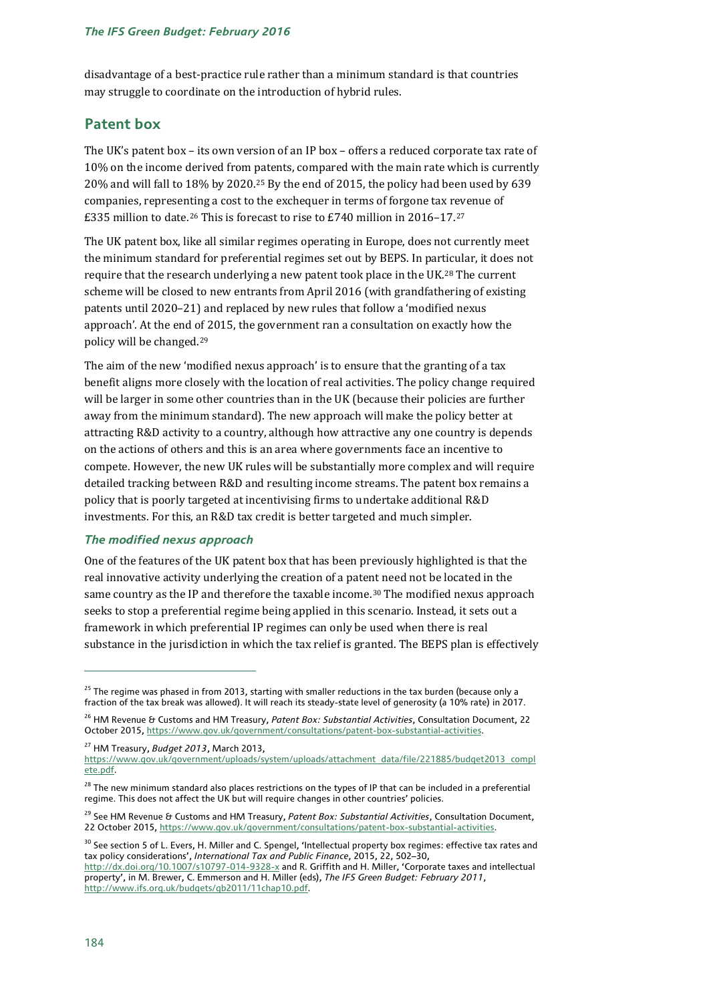disadvantage of a best-practice rule rather than a minimum standard is that countries may struggle to coordinate on the introduction of hybrid rules.

# **Patent box**

The UK's patent box – its own version of an IP box – offers a reduced corporate tax rate of 10% on the income derived from patents, compared with the main rate which is currently 20% and will fall to 18% by 2020.[25](#page-15-0) By the end of 2015, the policy had been used by 639 companies, representing a cost to the exchequer in terms of forgone tax revenue of £335 million to date.<sup>[26](#page-15-1)</sup> This is forecast to rise to £740 million in 2016–17.<sup>[27](#page-15-2)</sup>

The UK patent box, like all similar regimes operating in Europe, does not currently meet the minimum standard for preferential regimes set out by BEPS. In particular, it does not require that the research underlying a new patent took place in the UK.[28](#page-15-3) The current scheme will be closed to new entrants from April 2016 (with grandfathering of existing patents until 2020–21) and replaced by new rules that follow a 'modified nexus approach'. At the end of 2015, the government ran a consultation on exactly how the policy will be changed.[29](#page-15-4)

The aim of the new 'modified nexus approach' is to ensure that the granting of a tax benefit aligns more closely with the location of real activities. The policy change required will be larger in some other countries than in the UK (because their policies are further away from the minimum standard). The new approach will make the policy better at attracting R&D activity to a country, although how attractive any one country is depends on the actions of others and this is an area where governments face an incentive to compete. However, the new UK rules will be substantially more complex and will require detailed tracking between R&D and resulting income streams. The patent box remains a policy that is poorly targeted at incentivising firms to undertake additional R&D investments. For this, an R&D tax credit is better targeted and much simpler.

#### *The modified nexus approach*

One of the features of the UK patent box that has been previously highlighted is that the real innovative activity underlying the creation of a patent need not be located in the same country as the IP and therefore the taxable income.[30](#page-15-5) The modified nexus approach seeks to stop a preferential regime being applied in this scenario. Instead, it sets out a framework in which preferential IP regimes can only be used when there is real substance in the jurisdiction in which the tax relief is granted. The BEPS plan is effectively

<span id="page-15-2"></span><sup>27</sup> HM Treasury, *Budget 2013*, March 2013,

<span id="page-15-0"></span><sup>&</sup>lt;sup>25</sup> The regime was phased in from 2013, starting with smaller reductions in the tax burden (because only a fraction of the tax break was allowed). It will reach its steady-state level of generosity (a 10% rate) in 2017.

<span id="page-15-1"></span><sup>26</sup> HM Revenue & Customs and HM Treasury, *Patent Box: Substantial Activities*, Consultation Document, 22 October 2015[, https://www.gov.uk/government/consultations/patent-box-substantial-activities.](https://www.gov.uk/government/consultations/patent-box-substantial-activities)

[https://www.gov.uk/government/uploads/system/uploads/attachment\\_data/file/221885/budget2013\\_compl](https://www.gov.uk/government/uploads/system/uploads/attachment_data/file/221885/budget2013_complete.pdf) [ete.pdf.](https://www.gov.uk/government/uploads/system/uploads/attachment_data/file/221885/budget2013_complete.pdf)

<span id="page-15-3"></span><sup>&</sup>lt;sup>28</sup> The new minimum standard also places restrictions on the types of IP that can be included in a preferential regime. This does not affect the UK but will require changes in other countries' policies.

<span id="page-15-4"></span><sup>&</sup>lt;sup>29</sup> See HM Revenue & Customs and HM Treasury, *Patent Box: Substantial Activities*, Consultation Document, 22 October 2015[, https://www.gov.uk/government/consultations/patent-box-substantial-activities.](https://www.gov.uk/government/consultations/patent-box-substantial-activities)

<span id="page-15-5"></span><sup>&</sup>lt;sup>30</sup> See section 5 of L. Evers, H. Miller and C. Spengel, 'Intellectual property box regimes: effective tax rates and tax policy considerations', *International Tax and Public Finance*, 2015, 22, 502–30,

<http://dx.doi.org/10.1007/s10797-014-9328-x> and R. Griffith and H. Miller, 'Corporate taxes and intellectual property', in M. Brewer, C. Emmerson and H. Miller (eds), *The IFS Green Budget: February 2011*, [http://www.ifs.org.uk/budgets/gb2011/11chap10.pdf.](http://www.ifs.org.uk/budgets/gb2011/11chap10.pdf)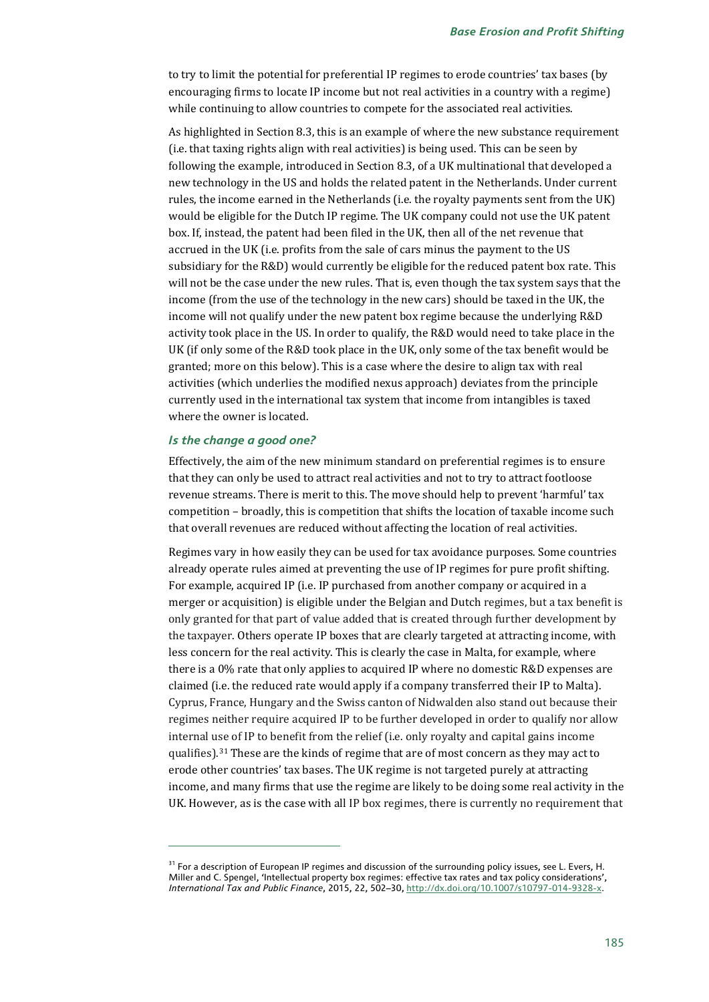to try to limit the potential for preferential IP regimes to erode countries' tax bases (by encouraging firms to locate IP income but not real activities in a country with a regime) while continuing to allow countries to compete for the associated real activities.

As highlighted in Section 8.3, this is an example of where the new substance requirement (i.e. that taxing rights align with real activities) is being used. This can be seen by following the example, introduced in Section 8.3, of a UK multinational that developed a new technology in the US and holds the related patent in the Netherlands. Under current rules, the income earned in the Netherlands (i.e. the royalty payments sent from the UK) would be eligible for the Dutch IP regime. The UK company could not use the UK patent box. If, instead, the patent had been filed in the UK, then all of the net revenue that accrued in the UK (i.e. profits from the sale of cars minus the payment to the US subsidiary for the R&D) would currently be eligible for the reduced patent box rate. This will not be the case under the new rules. That is, even though the tax system says that the income (from the use of the technology in the new cars) should be taxed in the UK, the income will not qualify under the new patent box regime because the underlying R&D activity took place in the US. In order to qualify, the R&D would need to take place in the UK (if only some of the R&D took place in the UK, only some of the tax benefit would be granted; more on this below). This is a case where the desire to align tax with real activities (which underlies the modified nexus approach) deviates from the principle currently used in the international tax system that income from intangibles is taxed where the owner is located.

#### *Is the change a good one?*

j

Effectively, the aim of the new minimum standard on preferential regimes is to ensure that they can only be used to attract real activities and not to try to attract footloose revenue streams. There is merit to this. The move should help to prevent 'harmful' tax competition – broadly, this is competition that shifts the location of taxable income such that overall revenues are reduced without affecting the location of real activities.

Regimes vary in how easily they can be used for tax avoidance purposes. Some countries already operate rules aimed at preventing the use of IP regimes for pure profit shifting. For example, acquired IP (i.e. IP purchased from another company or acquired in a merger or acquisition) is eligible under the Belgian and Dutch regimes, but a tax benefit is only granted for that part of value added that is created through further development by the taxpayer. Others operate IP boxes that are clearly targeted at attracting income, with less concern for the real activity. This is clearly the case in Malta, for example, where there is a 0% rate that only applies to acquired IP where no domestic R&D expenses are claimed (i.e. the reduced rate would apply if a company transferred their IP to Malta). Cyprus, France, Hungary and the Swiss canton of Nidwalden also stand out because their regimes neither require acquired IP to be further developed in order to qualify nor allow internal use of IP to benefit from the relief (i.e. only royalty and capital gains income qualifies).[31](#page-16-0) These are the kinds of regime that are of most concern as they may act to erode other countries' tax bases. The UK regime is not targeted purely at attracting income, and many firms that use the regime are likely to be doing some real activity in the UK. However, as is the case with all IP box regimes, there is currently no requirement that

<span id="page-16-0"></span><sup>&</sup>lt;sup>31</sup> For a description of European IP regimes and discussion of the surrounding policy issues, see L. Evers, H. Miller and C. Spengel, 'Intellectual property box regimes: effective tax rates and tax policy considerations', *International Tax and Public Finance*, 2015, 22, 502–30[, http://dx.doi.org/10.1007/s10797-014-9328-x.](http://dx.doi.org/10.1007/s10797-014-9328-x)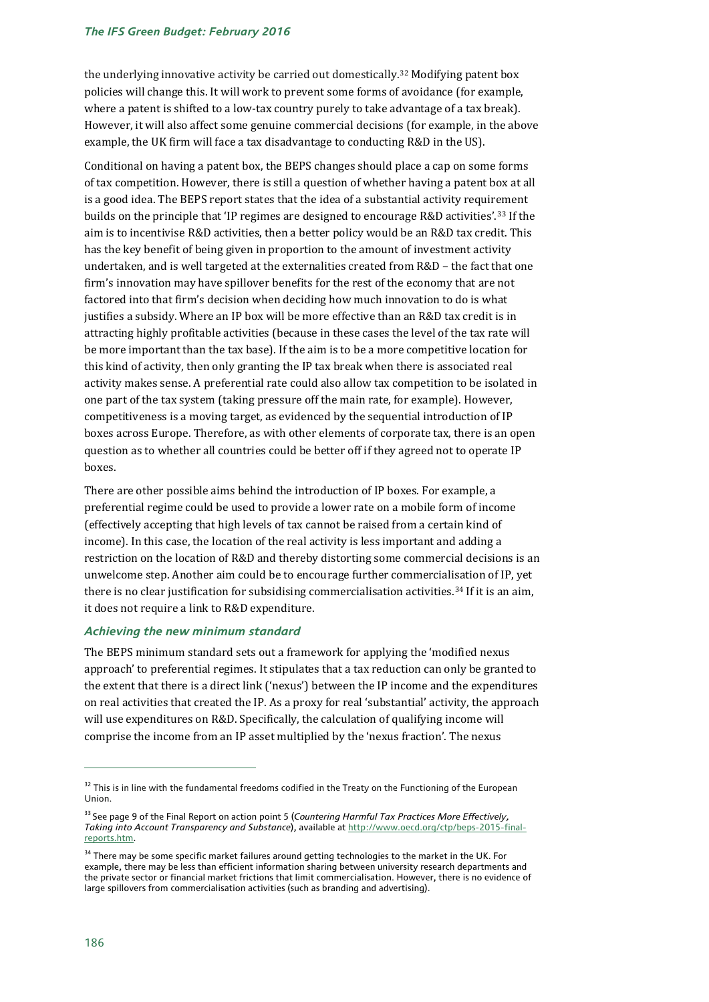#### *The IFS Green Budget: February 2016*

the underlying innovative activity be carried out domestically.[32](#page-17-0) Modifying patent box policies will change this. It will work to prevent some forms of avoidance (for example, where a patent is shifted to a low-tax country purely to take advantage of a tax break). However, it will also affect some genuine commercial decisions (for example, in the above example, the UK firm will face a tax disadvantage to conducting R&D in the US).

Conditional on having a patent box, the BEPS changes should place a cap on some forms of tax competition. However, there is still a question of whether having a patent box at all is a good idea. The BEPS report states that the idea of a substantial activity requirement builds on the principle that 'IP regimes are designed to encourage R&D activities'.[33](#page-17-1) If the aim is to incentivise R&D activities, then a better policy would be an R&D tax credit. This has the key benefit of being given in proportion to the amount of investment activity undertaken, and is well targeted at the externalities created from R&D – the fact that one firm's innovation may have spillover benefits for the rest of the economy that are not factored into that firm's decision when deciding how much innovation to do is what justifies a subsidy. Where an IP box will be more effective than an R&D tax credit is in attracting highly profitable activities (because in these cases the level of the tax rate will be more important than the tax base). If the aim is to be a more competitive location for this kind of activity, then only granting the IP tax break when there is associated real activity makes sense. A preferential rate could also allow tax competition to be isolated in one part of the tax system (taking pressure off the main rate, for example). However, competitiveness is a moving target, as evidenced by the sequential introduction of IP boxes across Europe. Therefore, as with other elements of corporate tax, there is an open question as to whether all countries could be better off if they agreed not to operate IP boxes.

There are other possible aims behind the introduction of IP boxes. For example, a preferential regime could be used to provide a lower rate on a mobile form of income (effectively accepting that high levels of tax cannot be raised from a certain kind of income). In this case, the location of the real activity is less important and adding a restriction on the location of R&D and thereby distorting some commercial decisions is an unwelcome step. Another aim could be to encourage further commercialisation of IP, yet there is no clear justification for subsidising commercialisation activities.<sup>[34](#page-17-2)</sup> If it is an aim, it does not require a link to R&D expenditure.

#### *Achieving the new minimum standard*

The BEPS minimum standard sets out a framework for applying the 'modified nexus approach' to preferential regimes. It stipulates that a tax reduction can only be granted to the extent that there is a direct link ('nexus') between the IP income and the expenditures on real activities that created the IP. As a proxy for real 'substantial' activity, the approach will use expenditures on R&D. Specifically, the calculation of qualifying income will comprise the income from an IP asset multiplied by the 'nexus fraction'. The nexus

<span id="page-17-0"></span><sup>&</sup>lt;sup>32</sup> This is in line with the fundamental freedoms codified in the Treaty on the Functioning of the European Union.

<span id="page-17-1"></span><sup>33</sup> See page 9 of the Final Report on action point 5 (*[Countering Harmful Tax Practices](http://www.oecd.org/tax/countering-harmful-tax-practices-more-effectively-taking-into-account-transparency-and-substance-action-5-2015-final-report-9789264241190-en.htm) More Effectively, Taking into Account Transparency and Substance*), available a[t http://www.oecd.org/ctp/beps-2015-final](http://www.oecd.org/ctp/beps-2015-final-reports.htm)[reports.htm.](http://www.oecd.org/ctp/beps-2015-final-reports.htm)

<span id="page-17-2"></span> $34$  There may be some specific market failures around getting technologies to the market in the UK. For example, there may be less than efficient information sharing between university research departments and the private sector or financial market frictions that limit commercialisation. However, there is no evidence of large spillovers from commercialisation activities (such as branding and advertising).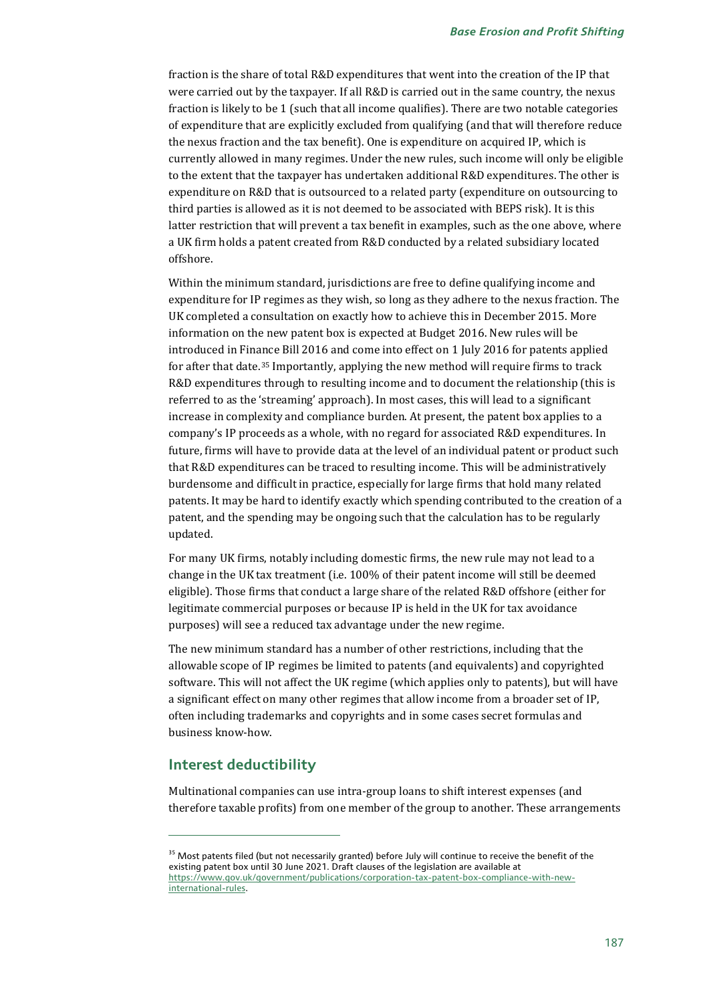fraction is the share of total R&D expenditures that went into the creation of the IP that were carried out by the taxpayer. If all R&D is carried out in the same country, the nexus fraction is likely to be 1 (such that all income qualifies). There are two notable categories of expenditure that are explicitly excluded from qualifying (and that will therefore reduce the nexus fraction and the tax benefit). One is expenditure on acquired IP, which is currently allowed in many regimes. Under the new rules, such income will only be eligible to the extent that the taxpayer has undertaken additional R&D expenditures. The other is expenditure on R&D that is outsourced to a related party (expenditure on outsourcing to third parties is allowed as it is not deemed to be associated with BEPS risk). It is this latter restriction that will prevent a tax benefit in examples, such as the one above, where a UK firm holds a patent created from R&D conducted by a related subsidiary located offshore.

Within the minimum standard, jurisdictions are free to define qualifying income and expenditure for IP regimes as they wish, so long as they adhere to the nexus fraction. The UK completed a consultation on exactly how to achieve this in December 2015. More information on the new patent box is expected at Budget 2016. New rules will be introduced in Finance Bill 2016 and come into effect on 1 July 2016 for patents applied for after that date.[35](#page-18-0) Importantly, applying the new method will require firms to track R&D expenditures through to resulting income and to document the relationship (this is referred to as the 'streaming' approach). In most cases, this will lead to a significant increase in complexity and compliance burden. At present, the patent box applies to a company's IP proceeds as a whole, with no regard for associated R&D expenditures. In future, firms will have to provide data at the level of an individual patent or product such that R&D expenditures can be traced to resulting income. This will be administratively burdensome and difficult in practice, especially for large firms that hold many related patents. It may be hard to identify exactly which spending contributed to the creation of a patent, and the spending may be ongoing such that the calculation has to be regularly updated.

For many UK firms, notably including domestic firms, the new rule may not lead to a change in the UK tax treatment (i.e. 100% of their patent income will still be deemed eligible). Those firms that conduct a large share of the related R&D offshore (either for legitimate commercial purposes or because IP is held in the UK for tax avoidance purposes) will see a reduced tax advantage under the new regime.

The new minimum standard has a number of other restrictions, including that the allowable scope of IP regimes be limited to patents (and equivalents) and copyrighted software. This will not affect the UK regime (which applies only to patents), but will have a significant effect on many other regimes that allow income from a broader set of IP, often including trademarks and copyrights and in some cases secret formulas and business know-how.

# **Interest deductibility**

j

Multinational companies can use intra-group loans to shift interest expenses (and therefore taxable profits) from one member of the group to another. These arrangements

<span id="page-18-0"></span><sup>&</sup>lt;sup>35</sup> Most patents filed (but not necessarily granted) before July will continue to receive the benefit of the existing patent box until 30 June 2021. Draft clauses of the legislation are available at [https://www.gov.uk/government/publications/corporation-tax-patent-box-compliance-with-new](https://www.gov.uk/government/publications/corporation-tax-patent-box-compliance-with-new-international-rules)[international-rules.](https://www.gov.uk/government/publications/corporation-tax-patent-box-compliance-with-new-international-rules)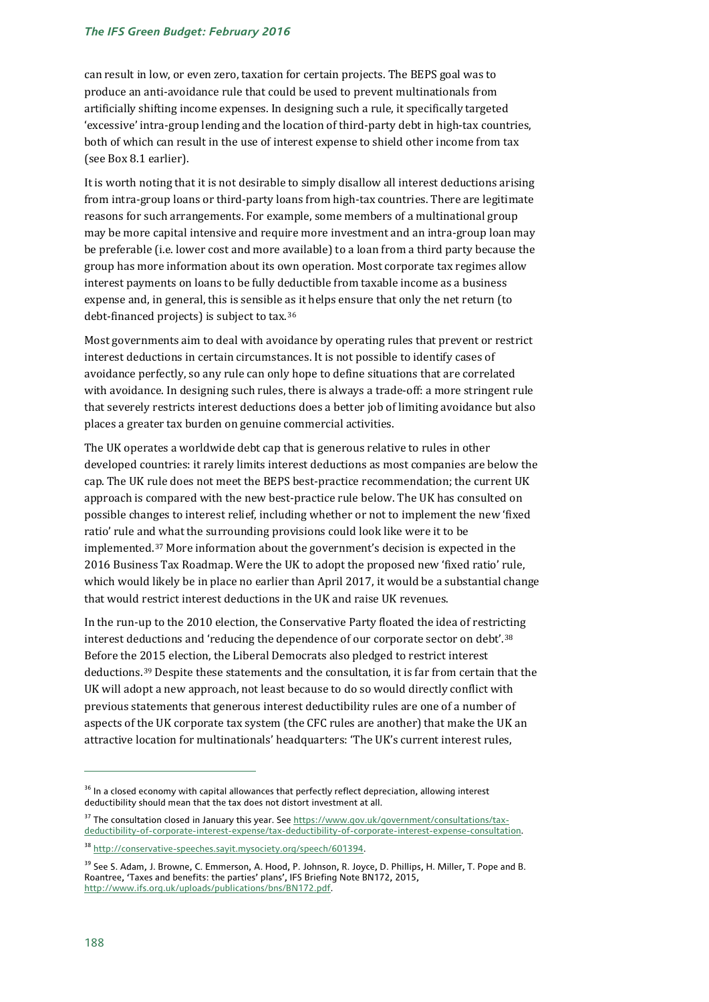#### *The IFS Green Budget: February 2016*

can result in low, or even zero, taxation for certain projects. The BEPS goal was to produce an anti-avoidance rule that could be used to prevent multinationals from artificially shifting income expenses. In designing such a rule, it specifically targeted 'excessive' intra-group lending and the location of third-party debt in high-tax countries, both of which can result in the use of interest expense to shield other income from tax (see Box 8.1 earlier).

It is worth noting that it is not desirable to simply disallow all interest deductions arising from intra-group loans or third-party loans from high-tax countries. There are legitimate reasons for such arrangements. For example, some members of a multinational group may be more capital intensive and require more investment and an intra-group loan may be preferable (i.e. lower cost and more available) to a loan from a third party because the group has more information about its own operation. Most corporate tax regimes allow interest payments on loans to be fully deductible from taxable income as a business expense and, in general, this is sensible as it helps ensure that only the net return (to debt-financed projects) is subject to tax.[36](#page-19-0)

Most governments aim to deal with avoidance by operating rules that prevent or restrict interest deductions in certain circumstances. It is not possible to identify cases of avoidance perfectly, so any rule can only hope to define situations that are correlated with avoidance. In designing such rules, there is always a trade-off: a more stringent rule that severely restricts interest deductions does a better job of limiting avoidance but also places a greater tax burden on genuine commercial activities.

The UK operates a worldwide debt cap that is generous relative to rules in other developed countries: it rarely limits interest deductions as most companies are below the cap. The UK rule does not meet the BEPS best-practice recommendation; the current UK approach is compared with the new best-practice rule below. The UK has consulted on possible changes to interest relief, including whether or not to implement the new 'fixed ratio' rule an[d w](#page-19-1)hat the surrounding provisions could look like were it to be implemented.37 More information about the government's decision is expected in the 2016 Business Tax Roadmap. Were the UK to adopt the proposed new 'fixed ratio' rule, which would likely be in place no earlier than April 2017, it would be a substantial change that would restrict interest deductions in the UK and raise UK revenues.

In the run-up to the 2010 election, the Conservative Party floated the idea of restricting interest deductions and 'reducing the dependence of our corporate sector on debt'.[38](#page-19-2) Before the 2015 election, the Liberal Democrats also pledged to restrict interest deductions.[39](#page-19-3) Despite these statements and the consultation, it is far from certain that the UK will adopt a new approach, not least because to do so would directly conflict with previous statements that generous interest deductibility rules are one of a number of aspects of the UK corporate tax system (the CFC rules are another) that make the UK an attractive location for multinationals' headquarters: 'The UK's current interest rules,

<span id="page-19-0"></span><sup>&</sup>lt;sup>36</sup> In a closed economy with capital allowances that perfectly reflect depreciation, allowing interest deductibility should mean that the tax does not distort investment at all.

<span id="page-19-1"></span><sup>&</sup>lt;sup>37</sup> The consultation closed in January this year. Se[e https://www.gov.uk/government/consultations/tax](https://www.gov.uk/government/consultations/tax-deductibility-of-corporate-interest-expense/tax-deductibility-of-corporate-interest-expense-consultation)[deductibility-of-corporate-interest-expense/tax-deductibility-of-corporate-interest-expense-consultation.](https://www.gov.uk/government/consultations/tax-deductibility-of-corporate-interest-expense/tax-deductibility-of-corporate-interest-expense-consultation) 

<span id="page-19-2"></span><sup>38</sup> [http://conservative-speeches.sayit.mysociety.org/speech/601394.](http://conservative-speeches.sayit.mysociety.org/speech/601394)

<span id="page-19-3"></span><sup>&</sup>lt;sup>39</sup> See S. Adam, J. Browne, C. Emmerson, A. Hood, P. Johnson, R. Joyce, D. Phillips, H. Miller, T. Pope and B. Roantree, ['Taxes and benefits: the parties'](https://sites.google.com/site/helenmillerecon/goog_701552000) plans', IFS Briefing Note BN172, 2015, [http://www.ifs.org.uk/uploads/publications/bns/BN172.pdf.](http://www.ifs.org.uk/uploads/publications/bns/BN172.pdf)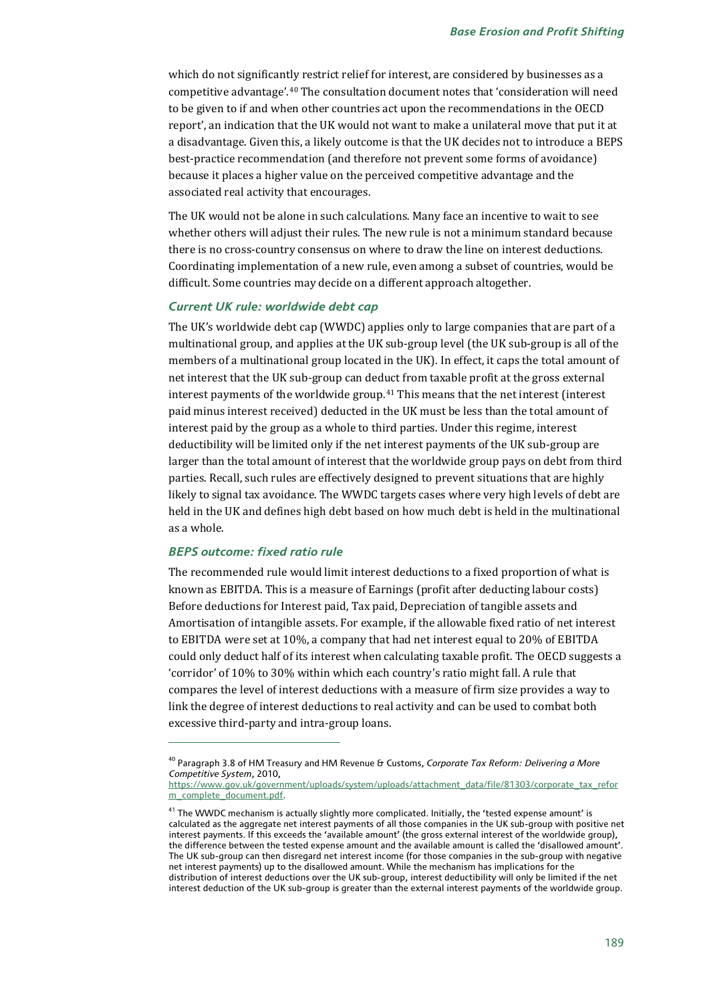which do not significantly restrict relief for interest, are considered by businesses as a competitive advantage'.[40](#page-20-0) The consultation document notes that 'consideration will need to be given to if and when other countries act upon the recommendations in the OECD report', an indication that the UK would not want to make a unilateral move that put it at a disadvantage. Given this, a likely outcome is that the UK decides not to introduce a BEPS best-practice recommendation (and therefore not prevent some forms of avoidance) because it places a higher value on the perceived competitive advantage and the associated real activity that encourages.

The UK would not be alone in such calculations. Many face an incentive to wait to see whether others will adjust their rules. The new rule is not a minimum standard because there is no cross-country consensus on where to draw the line on interest deductions. Coordinating implementation of a new rule, even among a subset of countries, would be difficult. Some countries may decide on a different approach altogether.

#### *Current UK rule: worldwide debt cap*

The UK's worldwide debt cap (WWDC) applies only to large companies that are part of a multinational group, and applies at the UK sub-group level (the UK sub-group is all of the members of a multinational group located in the UK). In effect, it caps the total amount of net interest that the UK sub-group can deduct from taxable profit at the gross external interest payments of the worldwide group.[41](#page-20-1) This means that the net interest (interest paid minus interest received) deducted in the UK must be less than the total amount of interest paid by the group as a whole to third parties. Under this regime, interest deductibility will be limited only if the net interest payments of the UK sub-group are larger than the total amount of interest that the worldwide group pays on debt from third parties. Recall, such rules are effectively designed to prevent situations that are highly likely to signal tax avoidance. The WWDC targets cases where very high levels of debt are held in the UK and defines high debt based on how much debt is held in the multinational as a whole.

#### *BEPS outcome: fixed ratio rule*

j

The recommended rule would limit interest deductions to a fixed proportion of what is known as EBITDA. This is a measure of Earnings (profit after deducting labour costs) Before deductions for Interest paid, Tax paid, Depreciation of tangible assets and Amortisation of intangible assets. For example, if the allowable fixed ratio of net interest to EBITDA were set at 10%, a company that had net interest equal to 20% of EBITDA could only deduct half of its interest when calculating taxable profit. The OECD suggests a 'corridor' of 10% to 30% within which each country's ratio might fall. A rule that compares the level of interest deductions with a measure of firm size provides a way to link the degree of interest deductions to real activity and can be used to combat both excessive third-party and intra-group loans.

<span id="page-20-0"></span><sup>40</sup> Paragraph 3.8 of HM Treasury and HM Revenue & Customs, *Corporate Tax Reform: Delivering a More Competitive System*, 2010,

[https://www.gov.uk/government/uploads/system/uploads/attachment\\_data/file/81303/corporate\\_tax\\_refor](https://www.gov.uk/government/uploads/system/uploads/attachment_data/file/81303/corporate_tax_reform_complete_document.pdf) [m\\_complete\\_document.pdf.](https://www.gov.uk/government/uploads/system/uploads/attachment_data/file/81303/corporate_tax_reform_complete_document.pdf)

<span id="page-20-1"></span><sup>&</sup>lt;sup>41</sup> The WWDC mechanism is actually slightly more complicated. Initially, the 'tested expense amount' is calculated as the aggregate net interest payments of all those companies in the UK sub-group with positive net interest payments. If this exceeds the 'available amount' (the gross external interest of the worldwide group), the difference between the tested expense amount and the available amount is called the 'disallowed amount'. The UK sub-group can then disregard net interest income (for those companies in the sub-group with negative net interest payments) up to the disallowed amount. While the mechanism has implications for the distribution of interest deductions over the UK sub-group, interest deductibility will only be limited if the net interest deduction of the UK sub-group is greater than the external interest payments of the worldwide group.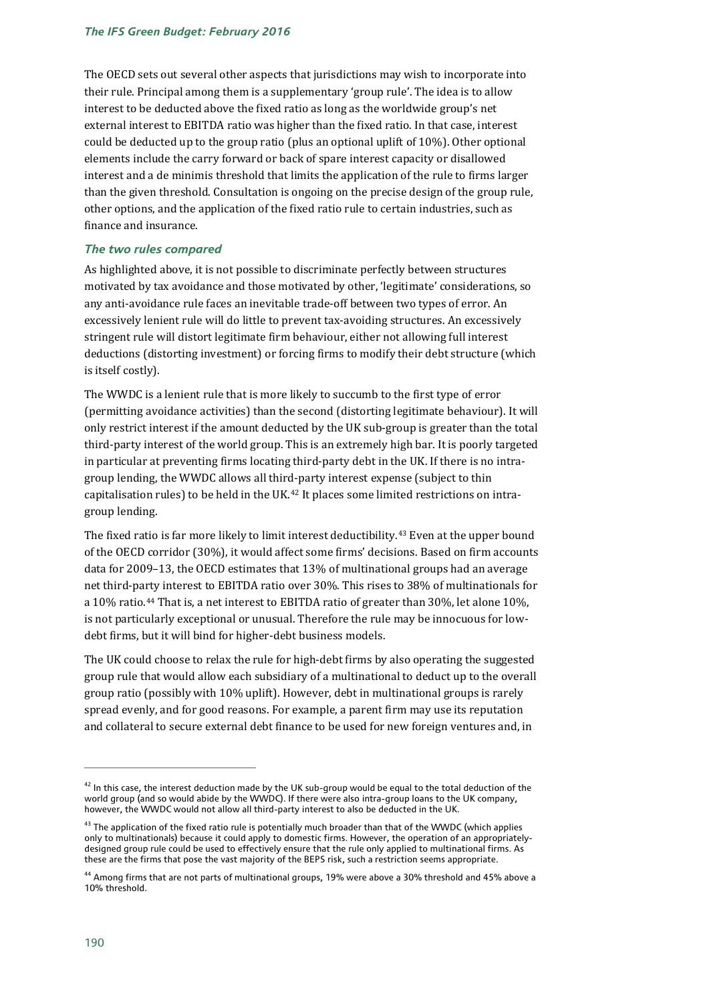The OECD sets out several other aspects that jurisdictions may wish to incorporate into their rule. Principal among them is a supplementary 'group rule'. The idea is to allow interest to be deducted above the fixed ratio as long as the worldwide group's net external interest to EBITDA ratio was higher than the fixed ratio. In that case, interest could be deducted up to the group ratio (plus an optional uplift of 10%). Other optional elements include the carry forward or back of spare interest capacity or disallowed interest and a de minimis threshold that limits the application of the rule to firms larger than the given threshold. Consultation is ongoing on the precise design of the group rule, other options, and the application of the fixed ratio rule to certain industries, such as finance and insurance.

#### *The two rules compared*

As highlighted above, it is not possible to discriminate perfectly between structures motivated by tax avoidance and those motivated by other, 'legitimate' considerations, so any anti-avoidance rule faces an inevitable trade-off between two types of error. An excessively lenient rule will do little to prevent tax-avoiding structures. An excessively stringent rule will distort legitimate firm behaviour, either not allowing full interest deductions (distorting investment) or forcing firms to modify their debt structure (which is itself costly).

The WWDC is a lenient rule that is more likely to succumb to the first type of error (permitting avoidance activities) than the second (distorting legitimate behaviour). It will only restrict interest if the amount deducted by the UK sub-group is greater than the total third-party interest of the world group. This is an extremely high bar. It is poorly targeted in particular at preventing firms locating third-party debt in the UK. If there is no intragroup lending, the WWDC allows all third-party interest expense (subject to thin capitalisation rules) to be held in the UK.<sup>[42](#page-21-0)</sup> It places some limited restrictions on intragroup lending.

The fixed ratio is far more likely to limit interest deductibility.[43](#page-21-1) Even at the upper bound of the OECD corridor (30%), it would affect some firms' decisions. Based on firm accounts data for 2009–13, the OECD estimates that 13% of multinational groups had an average net third-party interest to EBITDA ratio over 30%. This rises to 38% of multinationals for a 10% ratio.[44](#page-21-2) That is, a net interest to EBITDA ratio of greater than 30%, let alone 10%, is not particularly exceptional or unusual. Therefore the rule may be innocuous for lowdebt firms, but it will bind for higher-debt business models.

The UK could choose to relax the rule for high-debt firms by also operating the suggested group rule that would allow each subsidiary of a multinational to deduct up to the overall group ratio (possibly with 10% uplift). However, debt in multinational groups is rarely spread evenly, and for good reasons. For example, a parent firm may use its reputation and collateral to secure external debt finance to be used for new foreign ventures and, in

<span id="page-21-0"></span> $42$  In this case, the interest deduction made by the UK sub-group would be equal to the total deduction of the world group (and so would abide by the WWDC). If there were also intra-group loans to the UK company, however, the WWDC would not allow all third-party interest to also be deducted in the UK.

<span id="page-21-1"></span> $43$  The application of the fixed ratio rule is potentially much broader than that of the WWDC (which applies only to multinationals) because it could apply to domestic firms. However, the operation of an appropriatelydesigned group rule could be used to effectively ensure that the rule only applied to multinational firms. As these are the firms that pose the vast majority of the BEPS risk, such a restriction seems appropriate.

<span id="page-21-2"></span><sup>44</sup> Among firms that are not parts of multinational groups, 19% were above a 30% threshold and 45% above a 10% threshold.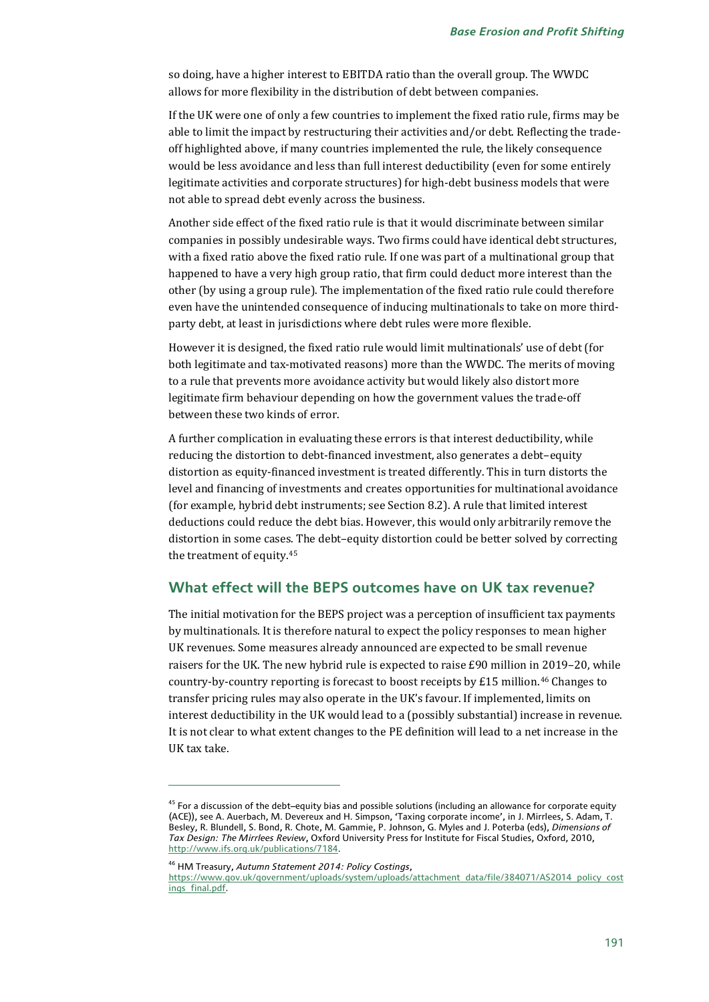so doing, have a higher interest to EBITDA ratio than the overall group. The WWDC allows for more flexibility in the distribution of debt between companies.

If the UK were one of only a few countries to implement the fixed ratio rule, firms may be able to limit the impact by restructuring their activities and/or debt. Reflecting the tradeoff highlighted above, if many countries implemented the rule, the likely consequence would be less avoidance and less than full interest deductibility (even for some entirely legitimate activities and corporate structures) for high-debt business models that were not able to spread debt evenly across the business.

Another side effect of the fixed ratio rule is that it would discriminate between similar companies in possibly undesirable ways. Two firms could have identical debt structures, with a fixed ratio above the fixed ratio rule. If one was part of a multinational group that happened to have a very high group ratio, that firm could deduct more interest than the other (by using a group rule). The implementation of the fixed ratio rule could therefore even have the unintended consequence of inducing multinationals to take on more thirdparty debt, at least in jurisdictions where debt rules were more flexible.

However it is designed, the fixed ratio rule would limit multinationals' use of debt (for both legitimate and tax-motivated reasons) more than the WWDC. The merits of moving to a rule that prevents more avoidance activity but would likely also distort more legitimate firm behaviour depending on how the government values the trade-off between these two kinds of error.

A further complication in evaluating these errors is that interest deductibility, while reducing the distortion to debt-financed investment, also generates a debt–equity distortion as equity-financed investment is treated differently. This in turn distorts the level and financing of investments and creates opportunities for multinational avoidance (for example, hybrid debt instruments; see Section 8.2). A rule that limited interest deductions could reduce the debt bias. However, this would only arbitrarily remove the distortion in some cases. The debt–equity distortion could be better solved by correcting the treatment of equity.[45](#page-22-0)

#### **What effect will the BEPS outcomes have on UK tax revenue?**

The initial motivation for the BEPS project was a perception of insufficient tax payments by multinationals. It is therefore natural to expect the policy responses to mean higher UK revenues. Some measures already announced are expected to be small revenue raisers for the UK. The new hybrid rule is expected to raise £90 million in 2019–20, while country-by-country reporting is forecast to boost receipts by £15 million.<sup>[46](#page-22-1)</sup> Changes to transfer pricing rules may also operate in the UK's favour. If implemented, limits on interest deductibility in the UK would lead to a (possibly substantial) increase in revenue. It is not clear to what extent changes to the PE definition will lead to a net increase in the UK tax take.

<span id="page-22-1"></span><sup>46</sup> HM Treasury, *Autumn Statement 2014: Policy Costings*,

<span id="page-22-0"></span> $45$  For a discussion of the debt–equity bias and possible solutions (including an allowance for corporate equity (ACE)), see A. Auerbach, M. Devereux and H. Simpson, 'Taxing corporate income', in J. Mirrlees, S. Adam, T. Besley, R. Blundell, S. Bond, R. Chote, M. Gammie, P. Johnson, G. Myles and J. Poterba (eds), *Dimensions of Tax Design: The Mirrlees Review*, Oxford University Press for Institute for Fiscal Studies, Oxford, 2010, [http://www.ifs.org.uk/publications/7184.](http://www.ifs.org.uk/publications/7184)

https://www.gov.uk/government/uploads/system/uploads/attachment\_data/file/384071/AS2014\_policy\_cost ings\_final.pdf.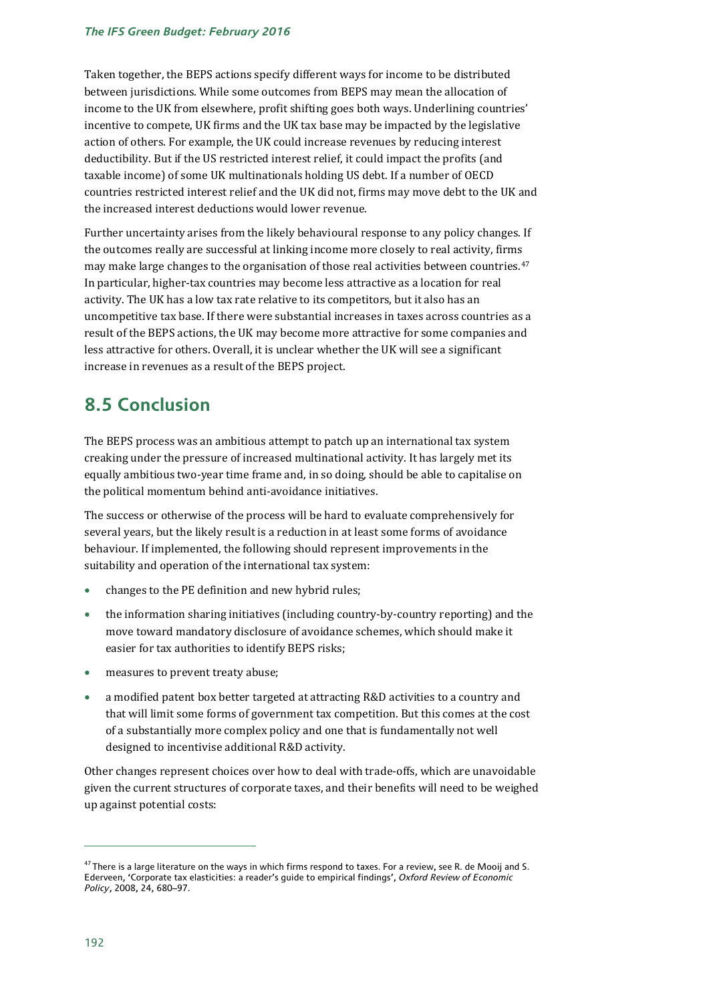Taken together, the BEPS actions specify different ways for income to be distributed between jurisdictions. While some outcomes from BEPS may mean the allocation of income to the UK from elsewhere, profit shifting goes both ways. Underlining countries' incentive to compete, UK firms and the UK tax base may be impacted by the legislative action of others. For example, the UK could increase revenues by reducing interest deductibility. But if the US restricted interest relief, it could impact the profits (and taxable income) of some UK multinationals holding US debt. If a number of OECD countries restricted interest relief and the UK did not, firms may move debt to the UK and the increased interest deductions would lower revenue.

Further uncertainty arises from the likely behavioural response to any policy changes. If the outcomes really are successful at linking income more closely to real activity, firms may make large changes to the organisation of those real activities between countries.<sup>[47](#page-23-0)</sup> In particular, higher-tax countries may become less attractive as a location for real activity. The UK has a low tax rate relative to its competitors, but it also has an uncompetitive tax base. If there were substantial increases in taxes across countries as a result of the BEPS actions, the UK may become more attractive for some companies and less attractive for others. Overall, it is unclear whether the UK will see a significant increase in revenues as a result of the BEPS project.

# **8.5 Conclusion**

The BEPS process was an ambitious attempt to patch up an international tax system creaking under the pressure of increased multinational activity. It has largely met its equally ambitious two-year time frame and, in so doing, should be able to capitalise on the political momentum behind anti-avoidance initiatives.

The success or otherwise of the process will be hard to evaluate comprehensively for several years, but the likely result is a reduction in at least some forms of avoidance behaviour. If implemented, the following should represent improvements in the suitability and operation of the international tax system:

- changes to the PE definition and new hybrid rules;
- the information sharing initiatives (including country-by-country reporting) and the move toward mandatory disclosure of avoidance schemes, which should make it easier for tax authorities to identify BEPS risks;
- measures to prevent treaty abuse;
- a modified patent box better targeted at attracting R&D activities to a country and that will limit some forms of government tax competition. But this comes at the cost of a substantially more complex policy and one that is fundamentally not well designed to incentivise additional R&D activity.

Other changes represent choices over how to deal with trade-offs, which are unavoidable given the current structures of corporate taxes, and their benefits will need to be weighed up against potential costs:

<span id="page-23-0"></span> $47$  There is a large literature on the ways in which firms respond to taxes. For a review, see R. de Mooij and S. Ederveen, 'Corporate tax elasticities: a reader's guide to empirical findings', *Oxford Review of Economic Policy*, 2008, 24, 680–97.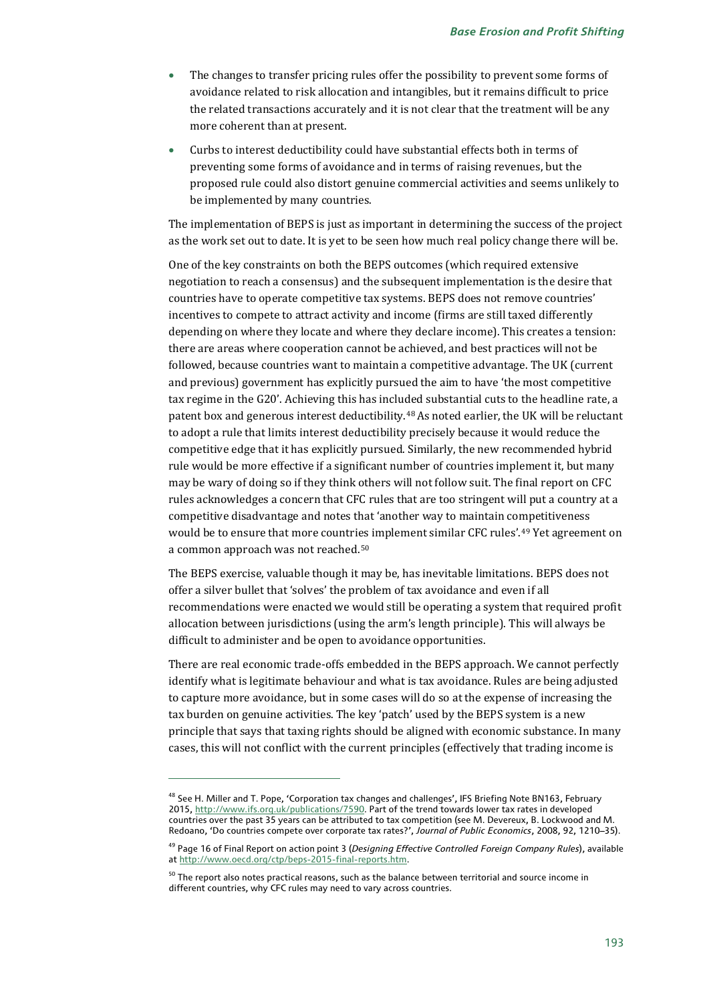- The changes to transfer pricing rules offer the possibility to prevent some forms of avoidance related to risk allocation and intangibles, but it remains difficult to price the related transactions accurately and it is not clear that the treatment will be any more coherent than at present.
- Curbs to interest deductibility could have substantial effects both in terms of preventing some forms of avoidance and in terms of raising revenues, but the proposed rule could also distort genuine commercial activities and seems unlikely to be implemented by many countries.

The implementation of BEPS is just as important in determining the success of the project as the work set out to date. It is yet to be seen how much real policy change there will be.

One of the key constraints on both the BEPS outcomes (which required extensive negotiation to reach a consensus) and the subsequent implementation is the desire that countries have to operate competitive tax systems. BEPS does not remove countries' incentives to compete to attract activity and income (firms are still taxed differently depending on where they locate and where they declare income). This creates a tension: there are areas where cooperation cannot be achieved, and best practices will not be followed, because countries want to maintain a competitive advantage. The UK (current and previous) government has explicitly pursued the aim to have 'the most competitive tax regime in the G20'. Achieving this has included substantial cuts to the headline rate, a patent box and generous interest deductibility.[48](#page-24-0)As noted earlier, the UK will be reluctant to adopt a rule that limits interest deductibility precisely because it would reduce the competitive edge that it has explicitly pursued. Similarly, the new recommended hybrid rule would be more effective if a significant number of countries implement it, but many may be wary of doing so if they think others will not follow suit. The final report on CFC rules acknowledges a concern that CFC rules that are too stringent will put a country at a competitive disadvantage and notes that 'another way to maintain competitiveness would be to ensure that more countri[es](#page-24-2) implement similar CFC rules'.[49](#page-24-1) Yet agreement on a common approach was not reached.50

The BEPS exercise, valuable though it may be, has inevitable limitations. BEPS does not offer a silver bullet that 'solves' the problem of tax avoidance and even if all recommendations were enacted we would still be operating a system that required profit allocation between jurisdictions (using the arm's length principle). This will always be difficult to administer and be open to avoidance opportunities.

There are real economic trade-offs embedded in the BEPS approach. We cannot perfectly identify what is legitimate behaviour and what is tax avoidance. Rules are being adjusted to capture more avoidance, but in some cases will do so at the expense of increasing the tax burden on genuine activities. The key 'patch' used by the BEPS system is a new principle that says that taxing rights should be aligned with economic substance. In many cases, this will not conflict with the current principles (effectively that trading income is

<span id="page-24-0"></span><sup>&</sup>lt;sup>48</sup> See H. Miller and T. Pope, 'Corporation tax changes and challenges', IFS Briefing Note BN163, February 2015, [http://www.ifs.org.uk/publications/7590.](http://www.ifs.org.uk/publications/7590) Part of the trend towards lower tax rates in developed countries over the past 35 years can be attributed to tax competition (see M. Devereux, B. Lockwood and M. Redoano, 'Do countries compete over corporate tax rates?', *Journal of Public Economics*, 2008, 92, 1210–35).

<span id="page-24-1"></span><sup>49</sup> Page 16 of Final Report on action point 3 (*Designing Effective Controlled Foreign Company Rules*), available a[t http://www.oecd.org/ctp/beps-2015-final-reports.htm.](http://www.oecd.org/ctp/beps-2015-final-reports.htm)

<span id="page-24-2"></span> $50$  The report also notes practical reasons, such as the balance between territorial and source income in different countries, why CFC rules may need to vary across countries.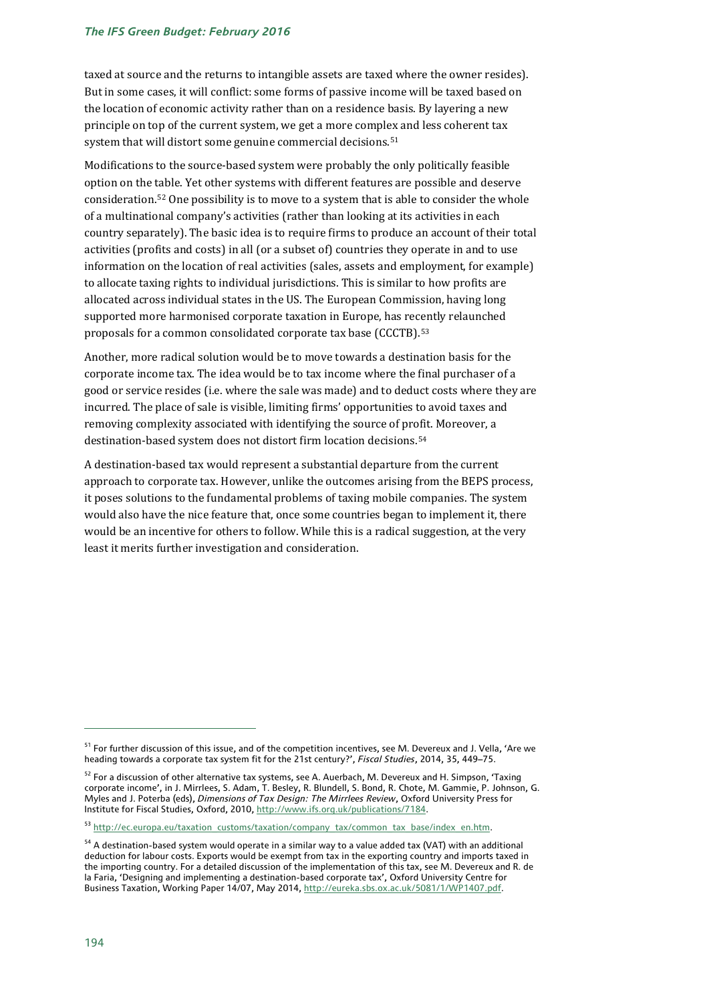#### *The IFS Green Budget: February 2016*

taxed at source and the returns to intangible assets are taxed where the owner resides). But in some cases, it will conflict: some forms of passive income will be taxed based on the location of economic activity rather than on a residence basis. By layering a new principle on top of the current system, we get a more complex and less coherent tax system that will distort some genuine commercial decisions.<sup>[51](#page-25-0)</sup>

Modifications to the source-based system were probably the only politically feasible option on the [tab](#page-25-1)le. Yet other systems with different features are possible and deserve consideration.52 One possibility is to move to a system that is able to consider the whole of a multinational company's activities (rather than looking at its activities in each country separately). The basic idea is to require firms to produce an account of their total activities (profits and costs) in all (or a subset of) countries they operate in and to use information on the location of real activities (sales, assets and employment, for example) to allocate taxing rights to individual jurisdictions. This is similar to how profits are allocated across individual states in the US. The European Commission, having long supported more harmonised corporate taxation in Europe, has rec[en](#page-25-2)tly relaunched proposals for a common consolidated corporate tax base (CCCTB). 53

Another, more radical solution would be to move towards a destination basis for the corporate income tax. The idea would be to tax income where the final purchaser of a good or service resides (i.e. where the sale was made) and to deduct costs where they are incurred. The place of sale is visible, limiting firms' opportunities to avoid taxes and removing complexity associated with identifying the source of profit. Moreover, a destination-based system does not distort firm location decisions.[54](#page-25-3)

A destination-based tax would represent a substantial departure from the current approach to corporate tax. However, unlike the outcomes arising from the BEPS process, it poses solutions to the fundamental problems of taxing mobile companies. The system would also have the nice feature that, once some countries began to implement it, there would be an incentive for others to follow. While this is a radical suggestion, at the very least it merits further investigation and consideration.

<span id="page-25-0"></span><sup>&</sup>lt;sup>51</sup> For further discussion of this issue, and of the competition incentives, see M. Devereux and J. Vella, 'Are we heading towards a corporate tax system fit for the 21st century?', *Fiscal Studies*, 2014, 35, 449–75.

<span id="page-25-1"></span><sup>&</sup>lt;sup>52</sup> For a discussion of other alternative tax systems, see A. Auerbach, M. Devereux and H. Simpson, 'Taxing corporate income', in J. Mirrlees, S. Adam, T. Besley, R. Blundell, S. Bond, R. Chote, M. Gammie, P. Johnson, G. Myles and J. Poterba (eds), *Dimensions of Tax Design: The Mirrlees Review*, Oxford University Press for Institute for Fiscal Studies, Oxford, 2010[, http://www.ifs.org.uk/publications/7184.](http://www.ifs.org.uk/publications/7184)

<span id="page-25-2"></span><sup>53</sup> http://ec.europa.eu/taxation\_customs/taxation/company\_tax/common\_tax\_base/index\_en.htm.

<span id="page-25-3"></span><sup>&</sup>lt;sup>54</sup> A destination-based system would operate in a similar way to a value added tax (VAT) with an additional deduction for labour costs. Exports would be exempt from tax in the exporting country and imports taxed in the importing country. For a detailed discussion of the implementation of this tax, see M. Devereux and R. de la Faria, 'Designing and implementing a destination-based corporate tax', Oxford University Centre for Business Taxation, Working Paper 14/07, May 2014[, http://eureka.sbs.ox.ac.uk/5081/1/WP1407.pdf.](http://eureka.sbs.ox.ac.uk/5081/1/WP1407.pdf)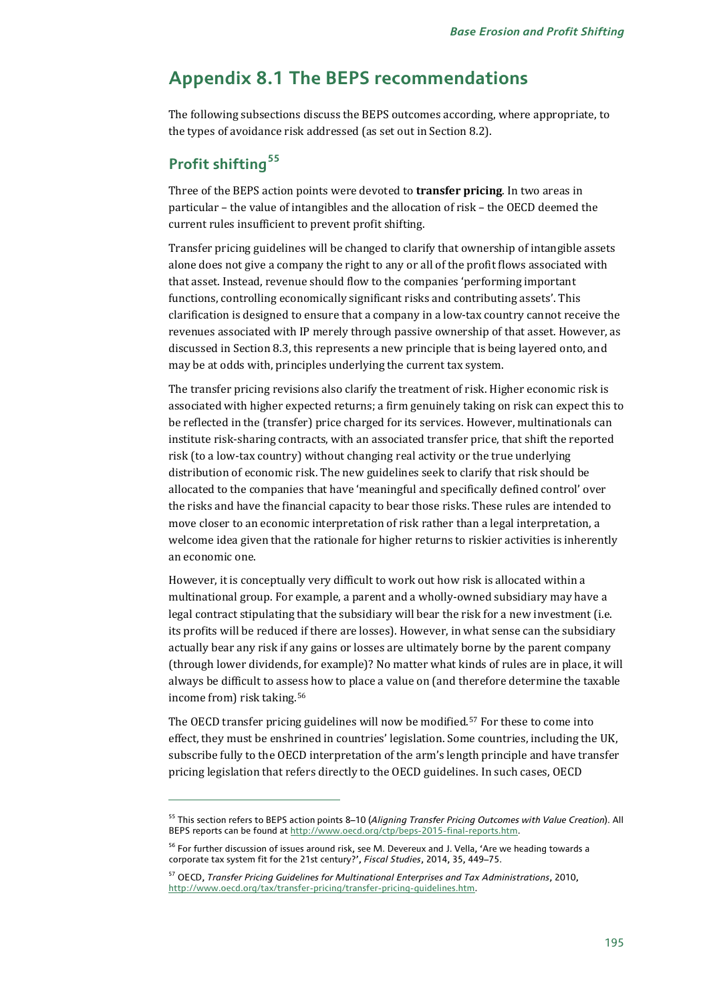# **Appendix 8.1 The BEPS recommendations**

The following subsections discuss the BEPS outcomes according, where appropriate, to the types of avoidance risk addressed (as set out in Section 8.2).

# **Profit shifting[55](#page-26-0)**

j

Three of the BEPS action points were devoted to **transfer pricing**. In two areas in particular – the value of intangibles and the allocation of risk – the OECD deemed the current rules insufficient to prevent profit shifting.

Transfer pricing guidelines will be changed to clarify that ownership of intangible assets alone does not give a company the right to any or all of the profit flows associated with that asset. Instead, revenue should flow to the companies 'performing important functions, controlling economically significant risks and contributing assets'. This clarification is designed to ensure that a company in a low-tax country cannot receive the revenues associated with IP merely through passive ownership of that asset. However, as discussed in Section 8.3, this represents a new principle that is being layered onto, and may be at odds with, principles underlying the current tax system.

The transfer pricing revisions also clarify the treatment of risk. Higher economic risk is associated with higher expected returns; a firm genuinely taking on risk can expect this to be reflected in the (transfer) price charged for its services. However, multinationals can institute risk-sharing contracts, with an associated transfer price, that shift the reported risk (to a low-tax country) without changing real activity or the true underlying distribution of economic risk. The new guidelines seek to clarify that risk should be allocated to the companies that have 'meaningful and specifically defined control' over the risks and have the financial capacity to bear those risks. These rules are intended to move closer to an economic interpretation of risk rather than a legal interpretation, a welcome idea given that the rationale for higher returns to riskier activities is inherently an economic one.

However, it is conceptually very difficult to work out how risk is allocated within a multinational group. For example, a parent and a wholly-owned subsidiary may have a legal contract stipulating that the subsidiary will bear the risk for a new investment (i.e. its profits will be reduced if there are losses). However, in what sense can the subsidiary actually bear any risk if any gains or losses are ultimately borne by the parent company (through lower dividends, for example)? No matter what kinds of rules are in place, it will always be difficult to assess how to place a value on (and therefore determine the taxable income from) risk taking.[56](#page-26-1)

The OECD transfer pricing guidelines will now be modified.[57](#page-26-2) For these to come into effect, they must be enshrined in countries' legislation. Some countries, including the UK, subscribe fully to the OECD interpretation of the arm's length principle and have transfer pricing legislation that refers directly to the OECD guidelines. In such cases, OECD

<span id="page-26-0"></span><sup>55</sup> This section refers to BEPS action points 8–10 (*Aligning Transfer Pricing [Outcomes with Value Creation](http://www.oecd.org/tax/aligning-transfer-pricing-outcomes-with-value-creation-actions-8-10-2015-final-reports-9789264241244-en.htm)*). All BEPS reports can be found at [http://www.oecd.org/ctp/beps-2015-final-reports.htm.](http://www.oecd.org/ctp/beps-2015-final-reports.htm) 

<span id="page-26-1"></span><sup>&</sup>lt;sup>56</sup> For further discussion of issues around risk, see M. Devereux and J. Vella, 'Are we heading towards a corporate tax system fit for the 21st century?', *Fiscal Studies*, 2014, 35, 449–75.

<span id="page-26-2"></span><sup>57</sup> OECD, *Transfer Pricing Guidelines for Multinational Enterprises and Tax Administrations*, 2010, [http://www.oecd.org/tax/transfer-pricing/transfer-pricing-guidelines.htm.](http://www.oecd.org/tax/transfer-pricing/transfer-pricing-guidelines.htm)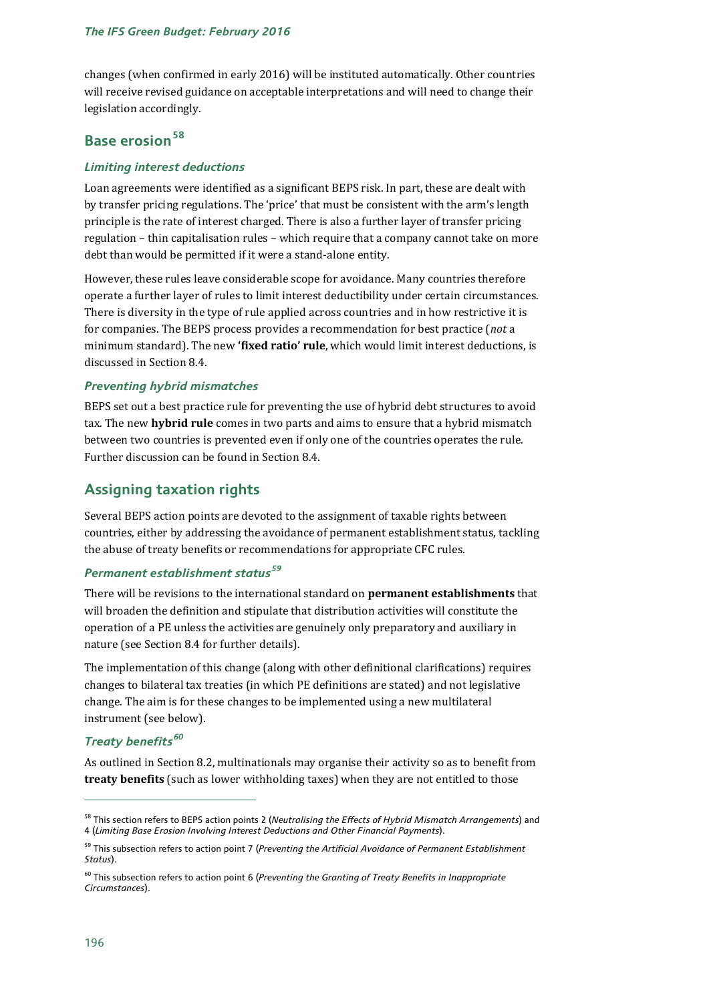changes (when confirmed in early 2016) will be instituted automatically. Other countries will receive revised guidance on acceptable interpretations and will need to change their legislation accordingly.

# **Base erosion[58](#page-27-0)**

#### *Limiting interest deductions*

Loan agreements were identified as a significant BEPS risk. In part, these are dealt with by transfer pricing regulations. The 'price' that must be consistent with the arm's length principle is the rate of interest charged. There is also a further layer of transfer pricing regulation – thin capitalisation rules – which require that a company cannot take on more debt than would be permitted if it were a stand-alone entity.

However, these rules leave considerable scope for avoidance. Many countries therefore operate a further layer of rules to limit interest deductibility under certain circumstances. There is diversity in the type of rule applied across countries and in how restrictive it is for companies. The BEPS process provides a recommendation for best practice (*not* a minimum standard). The new **'fixed ratio' rule**, which would limit interest deductions, is discussed in Section 8.4.

#### *Preventing hybrid mismatches*

BEPS set out a best practice rule for preventing the use of hybrid debt structures to avoid tax. The new **hybrid rule** comes in two parts and aims to ensure that a hybrid mismatch between two countries is prevented even if only one of the countries operates the rule. Further discussion can be found in Section 8.4.

# **Assigning taxation rights**

Several BEPS action points are devoted to the assignment of taxable rights between countries, either by addressing the avoidance of permanent establishment status, tackling the abuse of treaty benefits or recommendations for appropriate CFC rules.

# *Permanent establishment status[59](#page-27-1)*

There will be revisions to the international standard on **permanent establishments** that will broaden the definition and stipulate that distribution activities will constitute the operation of a PE unless the activities are genuinely only preparatory and auxiliary in nature (see Section 8.4 for further details).

The implementation of this change (along with other definitional clarifications) requires changes to bilateral tax treaties (in which PE definitions are stated) and not legislative change. The aim is for these changes to be implemented using a new multilateral instrument (see below).

# *Treaty benefits[60](#page-27-2)*

As outlined in Section 8.2, multinationals may organise their activity so as to benefit from **treaty benefits** (such as lower withholding taxes) when they are not entitled to those

<span id="page-27-0"></span><sup>58</sup> This section refers to BEPS action points 2 (*[Neutralising the Effects of Hybrid Mismatch Arrangements](http://www.oecd.org/tax/neutralising-the-effects-of-hybrid-mismatch-arrangements-action-2-2015-final-report-9789264241138-en.htm)*) and 4 (*[Limiting Base Erosion Involving Interest Deductions](http://www.oecd.org/tax/limiting-base-erosion-involving-interest-deductions-and-other-financial-payments-action-4-2015-final-report-9789264241176-en.htm) and Other Financial Payments*).

<span id="page-27-1"></span><sup>59</sup> This subsection refers to action point 7 (*[Preventing the Artificial Avoidance of Permanent Establishment](http://www.oecd.org/tax/preventing-the-artificial-avoidance-of-permanent-establishment-status-action-7-2015-final-report-9789264241220-en.htm) [Status](http://www.oecd.org/tax/preventing-the-artificial-avoidance-of-permanent-establishment-status-action-7-2015-final-report-9789264241220-en.htm)*).

<span id="page-27-2"></span><sup>60</sup> This subsection refers to action point 6 (*[Preventing the Granting of Treaty Benefits](http://www.oecd.org/tax/preventing-the-granting-of-treaty-benefits-in-inappropriate-circumstances-action-6-2015-final-report-9789264241695-en.htm) in Inappropriate [Circumstances](http://www.oecd.org/tax/preventing-the-granting-of-treaty-benefits-in-inappropriate-circumstances-action-6-2015-final-report-9789264241695-en.htm)*).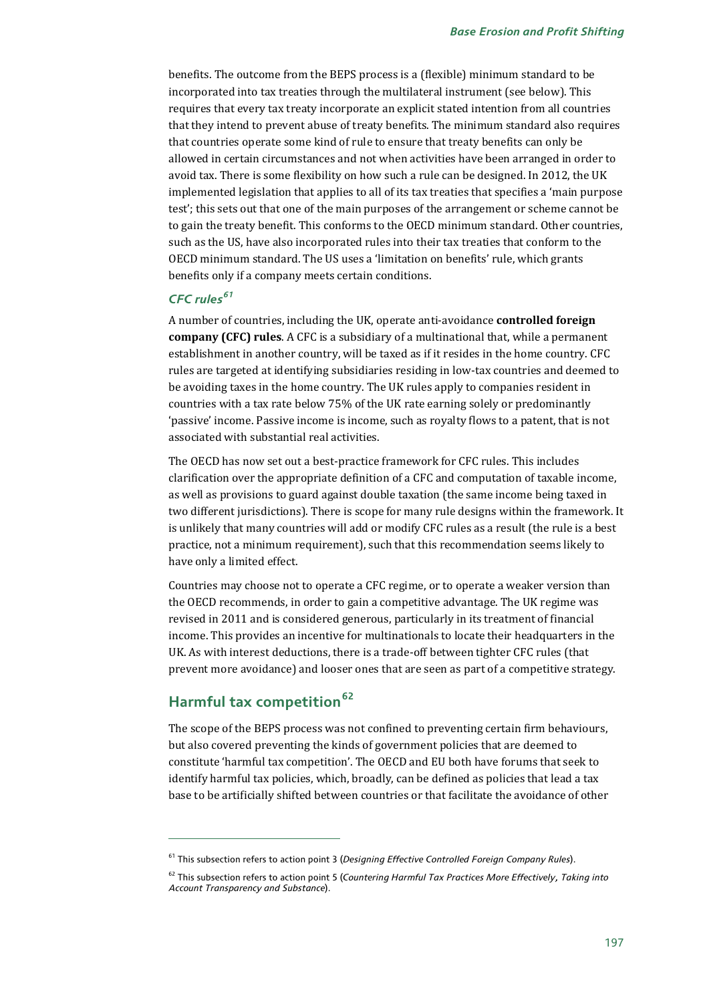benefits. The outcome from the BEPS process is a (flexible) minimum standard to be incorporated into tax treaties through the multilateral instrument (see below). This requires that every tax treaty incorporate an explicit stated intention from all countries that they intend to prevent abuse of treaty benefits. The minimum standard also requires that countries operate some kind of rule to ensure that treaty benefits can only be allowed in certain circumstances and not when activities have been arranged in order to avoid tax. There is some flexibility on how such a rule can be designed. In 2012, the UK implemented legislation that applies to all of its tax treaties that specifies a 'main purpose test'; this sets out that one of the main purposes of the arrangement or scheme cannot be to gain the treaty benefit. This conforms to the OECD minimum standard. Other countries, such as the US, have also incorporated rules into their tax treaties that conform to the OECD minimum standard. The US uses a 'limitation on benefits' rule, which grants benefits only if a company meets certain conditions.

# *CFC rules[61](#page-28-0)*

A number of countries, including the UK, operate anti-avoidance **controlled foreign company (CFC) rules**. A CFC is a subsidiary of a multinational that, while a permanent establishment in another country, will be taxed as if it resides in the home country. CFC rules are targeted at identifying subsidiaries residing in low-tax countries and deemed to be avoiding taxes in the home country. The UK rules apply to companies resident in countries with a tax rate below 75% of the UK rate earning solely or predominantly 'passive' income. Passive income is income, such as royalty flows to a patent, that is not associated with substantial real activities.

The OECD has now set out a best-practice framework for CFC rules. This includes clarification over the appropriate definition of a CFC and computation of taxable income, as well as provisions to guard against double taxation (the same income being taxed in two different jurisdictions). There is scope for many rule designs within the framework. It is unlikely that many countries will add or modify CFC rules as a result (the rule is a best practice, not a minimum requirement), such that this recommendation seems likely to have only a limited effect.

Countries may choose not to operate a CFC regime, or to operate a weaker version than the OECD recommends, in order to gain a competitive advantage. The UK regime was revised in 2011 and is considered generous, particularly in its treatment of financial income. This provides an incentive for multinationals to locate their headquarters in the UK. As with interest deductions, there is a trade-off between tighter CFC rules (that prevent more avoidance) and looser ones that are seen as part of a competitive strategy.

# **Harmful tax competition[62](#page-28-1)**

j

The scope of the BEPS process was not confined to preventing certain firm behaviours, but also covered preventing the kinds of government policies that are deemed to constitute 'harmful tax competition'. The OECD and EU both have forums that seek to identify harmful tax policies, which, broadly, can be defined as policies that lead a tax base to be artificially shifted between countries or that facilitate the avoidance of other

<span id="page-28-0"></span><sup>61</sup> This subsection refers to action point 3 (*Designing Effective Controlled Foreign Company Rules*).

<span id="page-28-1"></span><sup>62</sup> This subsection refers to action point 5 (*[Countering Harmful Tax Practices](http://www.oecd.org/tax/countering-harmful-tax-practices-more-effectively-taking-into-account-transparency-and-substance-action-5-2015-final-report-9789264241190-en.htm) More Effectively, Taking into Account Transparency and Substance*).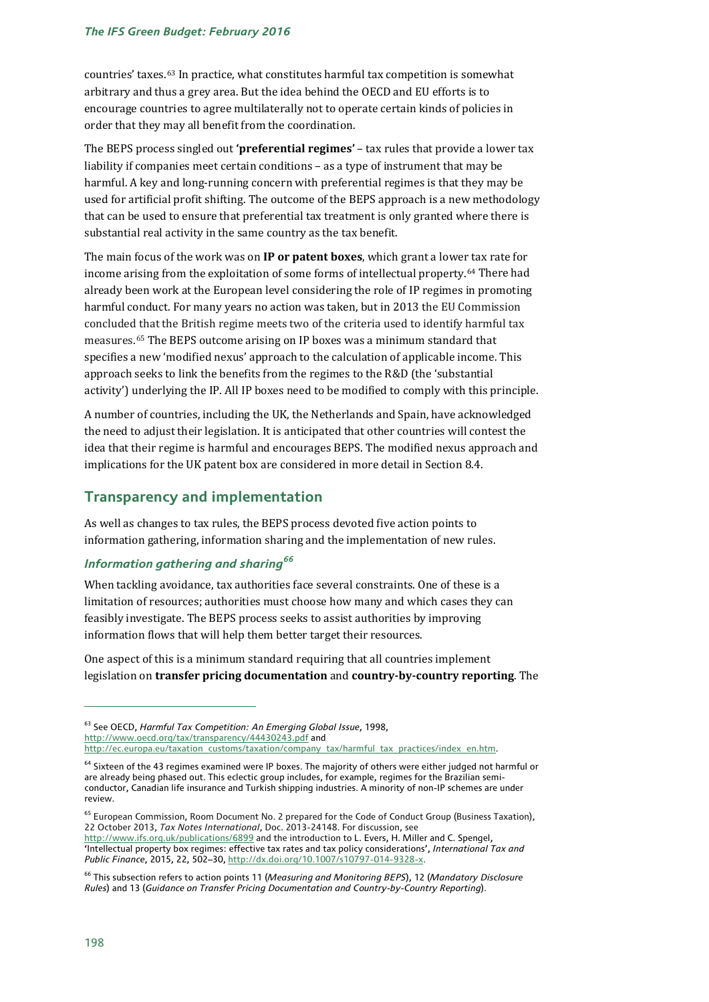#### *The IFS Green Budget: February 2016*

countries' taxes.[63](#page-29-0) In practice, what constitutes harmful tax competition is somewhat arbitrary and thus a grey area. But the idea behind the OECD and EU efforts is to encourage countries to agree multilaterally not to operate certain kinds of policies in order that they may all benefit from the coordination.

The BEPS process singled out **'preferential regimes'** – tax rules that provide a lower tax liability if companies meet certain conditions – as a type of instrument that may be harmful. A key and long-running concern with preferential regimes is that they may be used for artificial profit shifting. The outcome of the BEPS approach is a new methodology that can be used to ensure that preferential tax treatment is only granted where there is substantial real activity in the same country as the tax benefit.

The main focus of the work was on **IP or patent boxes**, which grant a lower tax rate for income arising from the exploitation of some forms of intellectual property.[64](#page-29-1) There had already been work at the European level considering the role of IP regimes in promoting harmful conduct. For many years no action was taken, but in 2013 the EU Commission concluded that the British regime meets two of the criteria used to identify harmful tax measures.[65](#page-29-2) The BEPS outcome arising on IP boxes was a minimum standard that specifies a new 'modified nexus' approach to the calculation of applicable income. This approach seeks to link the benefits from the regimes to the R&D (the 'substantial activity') underlying the IP. All IP boxes need to be modified to comply with this principle.

A number of countries, including the UK, the Netherlands and Spain, have acknowledged the need to adjust their legislation. It is anticipated that other countries will contest the idea that their regime is harmful and encourages BEPS. The modified nexus approach and implications for the UK patent box are considered in more detail in Section 8.4.

### **Transparency and implementation**

As well as changes to tax rules, the BEPS process devoted five action points to information gathering, information sharing and the implementation of new rules.

### *Information gathering and sharing[66](#page-29-3)*

When tackling avoidance, tax authorities face several constraints. One of these is a limitation of resources; authorities must choose how many and which cases they can feasibly investigate. The BEPS process seeks to assist authorities by improving information flows that will help them better target their resources.

One aspect of this is a minimum standard requiring that all countries implement legislation on **transfer pricing documentation** and **country-by-country reporting**. The

<span id="page-29-0"></span><sup>63</sup> See OECD, *Harmful Tax Competition: An Emerging Global Issue*, 1998, <http://www.oecd.org/tax/transparency/44430243.pdf> and [http://ec.europa.eu/taxation\\_customs/taxation/company\\_tax/harmful\\_tax\\_practices/index\\_en.htm.](http://ec.europa.eu/taxation_customs/taxation/company_tax/harmful_tax_practices/index_en.htm)

<span id="page-29-1"></span><sup>&</sup>lt;sup>64</sup> Sixteen of the 43 regimes examined were IP boxes. The majority of others were either judged not harmful or are already being phased out. This eclectic group includes, for example, regimes for the Brazilian semiconductor, Canadian life insurance and Turkish shipping industries. A minority of non-IP schemes are under review.

<span id="page-29-2"></span><sup>&</sup>lt;sup>65</sup> European Commission, Room Document No. 2 prepared for the Code of Conduct Group (Business Taxation), 22 October 2013, *Tax Notes International*, Doc. 2013-24148. For discussion, see <http://www.ifs.org.uk/publications/6899> and the introduction to L. Evers, H. Miller and C. Spengel, 'Intellectual property box regimes: effective tax rates and tax policy considerations', *International Tax and Public Finance*, 2015, 22, 502–30[, http://dx.doi.org/10.1007/s10797-014-9328-x.](http://dx.doi.org/10.1007/s10797-014-9328-x) 

<span id="page-29-3"></span><sup>66</sup> This subsection refers to action points 11 (*Measuring and Monitoring BEPS*), 12 (*Mandatory Disclosure Rules*) and 13 (*[Guidance on Transfer Pricing Documentation](http://www.oecd.org/tax/transfer-pricing-documentation-and-country-by-country-reporting-action-13-2015-final-report-9789264241480-en.htm) and Country-by-Country Reporting*).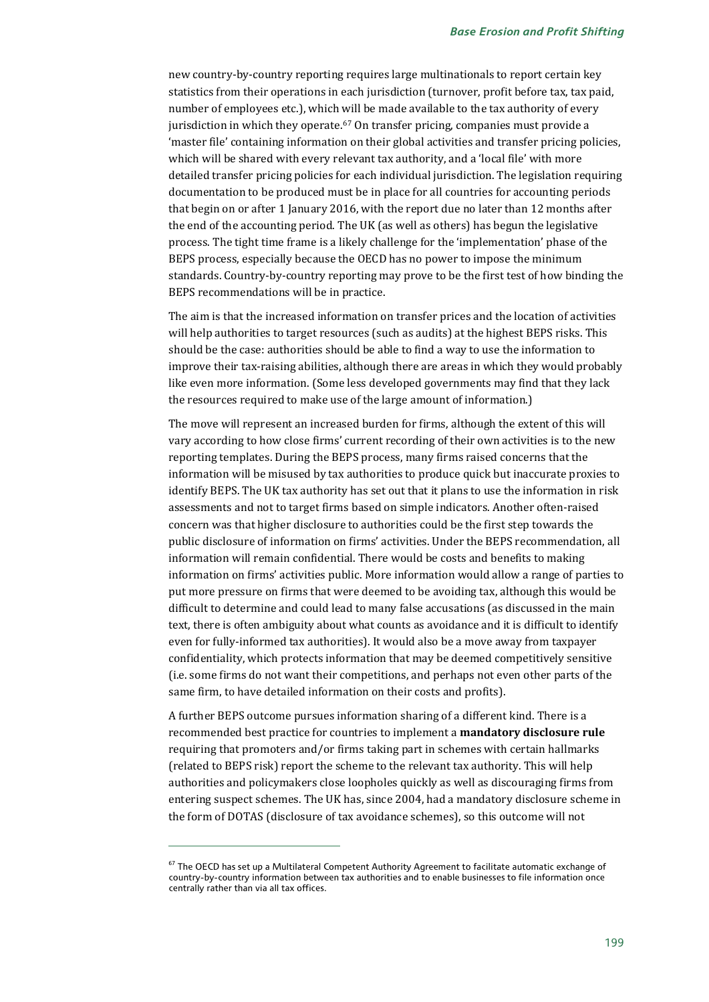new country-by-country reporting requires large multinationals to report certain key statistics from their operations in each jurisdiction (turnover, profit before tax, tax paid, number of employees etc.), which will be made available to the tax authority of every jurisdiction in which they operate. $67$  On transfer pricing, companies must provide a 'master file' containing information on their global activities and transfer pricing policies, which will be shared with every relevant tax authority, and a 'local file' with more detailed transfer pricing policies for each individual jurisdiction. The legislation requiring documentation to be produced must be in place for all countries for accounting periods that begin on or after 1 January 2016, with the report due no later than 12 months after the end of the accounting period. The UK (as well as others) has begun the legislative process. The tight time frame is a likely challenge for the 'implementation' phase of the BEPS process, especially because the OECD has no power to impose the minimum standards. Country-by-country reporting may prove to be the first test of how binding the BEPS recommendations will be in practice.

The aim is that the increased information on transfer prices and the location of activities will help authorities to target resources (such as audits) at the highest BEPS risks. This should be the case: authorities should be able to find a way to use the information to improve their tax-raising abilities, although there are areas in which they would probably like even more information. (Some less developed governments may find that they lack the resources required to make use of the large amount of information.)

The move will represent an increased burden for firms, although the extent of this will vary according to how close firms' current recording of their own activities is to the new reporting templates. During the BEPS process, many firms raised concerns that the information will be misused by tax authorities to produce quick but inaccurate proxies to identify BEPS. The UK tax authority has set out that it plans to use the information in risk assessments and not to target firms based on simple indicators. Another often-raised concern was that higher disclosure to authorities could be the first step towards the public disclosure of information on firms' activities. Under the BEPS recommendation, all information will remain confidential. There would be costs and benefits to making information on firms' activities public. More information would allow a range of parties to put more pressure on firms that were deemed to be avoiding tax, although this would be difficult to determine and could lead to many false accusations (as discussed in the main text, there is often ambiguity about what counts as avoidance and it is difficult to identify even for fully-informed tax authorities). It would also be a move away from taxpayer confidentiality, which protects information that may be deemed competitively sensitive (i.e. some firms do not want their competitions, and perhaps not even other parts of the same firm, to have detailed information on their costs and profits).

A further BEPS outcome pursues information sharing of a different kind. There is a recommended best practice for countries to implement a **mandatory disclosure rule** requiring that promoters and/or firms taking part in schemes with certain hallmarks (related to BEPS risk) report the scheme to the relevant tax authority. This will help authorities and policymakers close loopholes quickly as well as discouraging firms from entering suspect schemes. The UK has, since 2004, had a mandatory disclosure scheme in the form of DOTAS (disclosure of tax avoidance schemes), so this outcome will not

<span id="page-30-0"></span> $67$  The OECD has set up a Multilateral Competent Authority Agreement to facilitate automatic exchange of country-by-country information between tax authorities and to enable businesses to file information once centrally rather than via all tax offices.